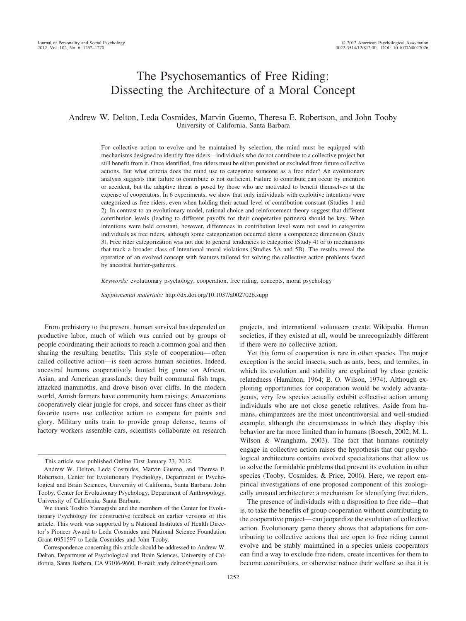# The Psychosemantics of Free Riding: Dissecting the Architecture of a Moral Concept

Andrew W. Delton, Leda Cosmides, Marvin Guemo, Theresa E. Robertson, and John Tooby University of California, Santa Barbara

For collective action to evolve and be maintained by selection, the mind must be equipped with mechanisms designed to identify free riders—individuals who do not contribute to a collective project but still benefit from it. Once identified, free riders must be either punished or excluded from future collective actions. But what criteria does the mind use to categorize someone as a free rider? An evolutionary analysis suggests that failure to contribute is not sufficient. Failure to contribute can occur by intention or accident, but the adaptive threat is posed by those who are motivated to benefit themselves at the expense of cooperators. In 6 experiments, we show that only individuals with exploitive intentions were categorized as free riders, even when holding their actual level of contribution constant (Studies 1 and 2). In contrast to an evolutionary model, rational choice and reinforcement theory suggest that different contribution levels (leading to different payoffs for their cooperative partners) should be key. When intentions were held constant, however, differences in contribution level were not used to categorize individuals as free riders, although some categorization occurred along a competence dimension (Study 3). Free rider categorization was not due to general tendencies to categorize (Study 4) or to mechanisms that track a broader class of intentional moral violations (Studies 5A and 5B). The results reveal the operation of an evolved concept with features tailored for solving the collective action problems faced by ancestral hunter-gatherers.

*Keywords:* evolutionary psychology, cooperation, free riding, concepts, moral psychology

*Supplemental materials:* http://dx.doi.org/10.1037/a0027026.supp

From prehistory to the present, human survival has depended on productive labor, much of which was carried out by groups of people coordinating their actions to reach a common goal and then sharing the resulting benefits. This style of cooperation— often called collective action—is seen across human societies. Indeed, ancestral humans cooperatively hunted big game on African, Asian, and American grasslands; they built communal fish traps, attacked mammoths, and drove bison over cliffs. In the modern world, Amish farmers have community barn raisings, Amazonians cooperatively clear jungle for crops, and soccer fans cheer as their favorite teams use collective action to compete for points and glory. Military units train to provide group defense, teams of factory workers assemble cars, scientists collaborate on research projects, and international volunteers create Wikipedia. Human societies, if they existed at all, would be unrecognizably different if there were no collective action.

Yet this form of cooperation is rare in other species. The major exception is the social insects, such as ants, bees, and termites, in which its evolution and stability are explained by close genetic relatedness (Hamilton, 1964; E. O. Wilson, 1974). Although exploiting opportunities for cooperation would be widely advantageous, very few species actually exhibit collective action among individuals who are not close genetic relatives. Aside from humans, chimpanzees are the most uncontroversial and well-studied example, although the circumstances in which they display this behavior are far more limited than in humans (Boesch, 2002; M. L. Wilson & Wrangham, 2003). The fact that humans routinely engage in collective action raises the hypothesis that our psychological architecture contains evolved specializations that allow us to solve the formidable problems that prevent its evolution in other species (Tooby, Cosmides, & Price, 2006). Here, we report empirical investigations of one proposed component of this zoologically unusual architecture: a mechanism for identifying free riders.

The presence of individuals with a disposition to free ride—that is, to take the benefits of group cooperation without contributing to the cooperative project— can jeopardize the evolution of collective action. Evolutionary game theory shows that adaptations for contributing to collective actions that are open to free riding cannot evolve and be stably maintained in a species unless cooperators can find a way to exclude free riders, create incentives for them to become contributors, or otherwise reduce their welfare so that it is

This article was published Online First January 23, 2012.

Andrew W. Delton, Leda Cosmides, Marvin Guemo, and Theresa E. Robertson, Center for Evolutionary Psychology, Department of Psychological and Brain Sciences, University of California, Santa Barbara; John Tooby, Center for Evolutionary Psychology, Department of Anthropology, University of California, Santa Barbara.

We thank Toshio Yamagishi and the members of the Center for Evolutionary Psychology for constructive feedback on earlier versions of this article. This work was supported by a National Institutes of Health Director's Pioneer Award to Leda Cosmides and National Science Foundation Grant 0951597 to Leda Cosmides and John Tooby.

Correspondence concerning this article should be addressed to Andrew W. Delton, Department of Psychological and Brain Sciences, University of California, Santa Barbara, CA 93106-9660. E-mail: andy.delton@gmail.com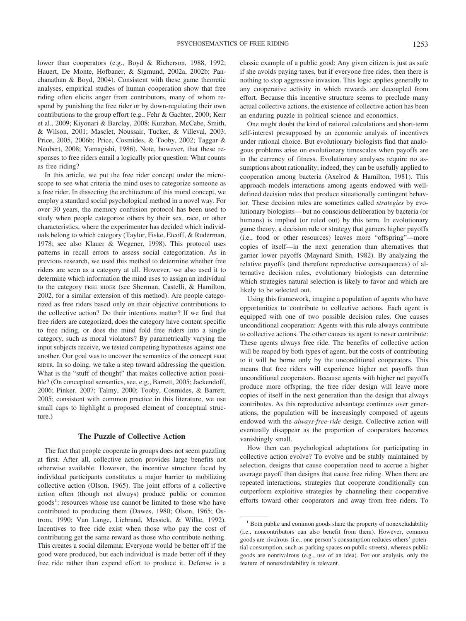lower than cooperators (e.g., Boyd & Richerson, 1988, 1992; Hauert, De Monte, Hofbauer, & Sigmund, 2002a, 2002b; Panchanathan & Boyd, 2004). Consistent with these game theoretic analyses, empirical studies of human cooperation show that free riding often elicits anger from contributors, many of whom respond by punishing the free rider or by down-regulating their own contributions to the group effort (e.g., Fehr & Gachter, 2000; Kerr et al., 2009; Kiyonari & Barclay, 2008; Kurzban, McCabe, Smith, & Wilson, 2001; Masclet, Noussair, Tucker, & Villeval, 2003; Price, 2005, 2006b; Price, Cosmides, & Tooby, 2002; Taggar & Neubert, 2008; Yamagishi, 1986). Note, however, that these responses to free riders entail a logically prior question: What counts as free riding?

In this article, we put the free rider concept under the microscope to see what criteria the mind uses to categorize someone as a free rider. In dissecting the architecture of this moral concept, we employ a standard social psychological method in a novel way. For over 30 years, the memory confusion protocol has been used to study when people categorize others by their sex, race, or other characteristics, where the experimenter has decided which individuals belong to which category (Taylor, Fiske, Etcoff, & Ruderman, 1978; see also Klauer & Wegener, 1998). This protocol uses patterns in recall errors to assess social categorization. As in previous research, we used this method to determine whether free riders are seen as a category at all. However, we also used it to determine which information the mind uses to assign an individual to the category FREE RIDER (see Sherman, Castelli, & Hamilton, 2002, for a similar extension of this method). Are people categorized as free riders based only on their objective contributions to the collective action? Do their intentions matter? If we find that free riders are categorized, does the category have content specific to free riding, or does the mind fold free riders into a single category, such as moral violators? By parametrically varying the input subjects receive, we tested competing hypotheses against one another. Our goal was to uncover the semantics of the concept FREE RIDER. In so doing, we take a step toward addressing the question, What is the "stuff of thought" that makes collective action possible? (On conceptual semantics, see, e.g., Barrett, 2005; Jackendoff, 2006; Pinker, 2007; Talmy, 2000; Tooby, Cosmides, & Barrett, 2005; consistent with common practice in this literature, we use small caps to highlight a proposed element of conceptual structure.)

#### **The Puzzle of Collective Action**

The fact that people cooperate in groups does not seem puzzling at first. After all, collective action provides large benefits not otherwise available. However, the incentive structure faced by individual participants constitutes a major barrier to mobilizing collective action (Olson, 1965). The joint efforts of a collective action often (though not always) produce public or common goods<sup>1</sup>: resources whose use cannot be limited to those who have contributed to producing them (Dawes, 1980; Olson, 1965; Ostrom, 1990; Van Lange, Liebrand, Messick, & Wilke, 1992). Incentives to free ride exist when those who pay the cost of contributing get the same reward as those who contribute nothing. This creates a social dilemma: Everyone would be better off if the good were produced, but each individual is made better off if they free ride rather than expend effort to produce it. Defense is a classic example of a public good: Any given citizen is just as safe if she avoids paying taxes, but if everyone free rides, then there is nothing to stop aggressive invasion. This logic applies generally to any cooperative activity in which rewards are decoupled from effort. Because this incentive structure seems to preclude many actual collective actions, the existence of collective action has been an enduring puzzle in political science and economics.

One might doubt the kind of rational calculations and short-term self-interest presupposed by an economic analysis of incentives under rational choice. But evolutionary biologists find that analogous problems arise on evolutionary timescales when payoffs are in the currency of fitness. Evolutionary analyses require no assumptions about rationality; indeed, they can be usefully applied to cooperation among bacteria (Axelrod & Hamilton, 1981). This approach models interactions among agents endowed with welldefined decision rules that produce situationally contingent behavior. These decision rules are sometimes called *strategies* by evolutionary biologists— but no conscious deliberation by bacteria (or humans) is implied (or ruled out) by this term. In evolutionary game theory, a decision rule or strategy that garners higher payoffs (i.e., food or other resources) leaves more "offspring"—more copies of itself—in the next generation than alternatives that garner lower payoffs (Maynard Smith, 1982). By analyzing the relative payoffs (and therefore reproductive consequences) of alternative decision rules, evolutionary biologists can determine which strategies natural selection is likely to favor and which are likely to be selected out.

Using this framework, imagine a population of agents who have opportunities to contribute to collective actions. Each agent is equipped with one of two possible decision rules. One causes unconditional cooperation: Agents with this rule always contribute to collective actions. The other causes its agent to never contribute: These agents always free ride. The benefits of collective action will be reaped by both types of agent, but the costs of contributing to it will be borne only by the unconditional cooperators. This means that free riders will experience higher net payoffs than unconditional cooperators. Because agents with higher net payoffs produce more offspring, the free rider design will leave more copies of itself in the next generation than the design that always contributes. As this reproductive advantage continues over generations, the population will be increasingly composed of agents endowed with the *always-free-ride* design. Collective action will eventually disappear as the proportion of cooperators becomes vanishingly small.

How then can psychological adaptations for participating in collective action evolve? To evolve and be stably maintained by selection, designs that cause cooperation need to accrue a higher average payoff than designs that cause free riding. When there are repeated interactions, strategies that cooperate conditionally can outperform exploitive strategies by channeling their cooperative efforts toward other cooperators and away from free riders. To

<sup>&</sup>lt;sup>1</sup> Both public and common goods share the property of nonexcludability (i.e., noncontributors can also benefit from them). However, common goods are rivalrous (i.e., one person's consumption reduces others' potential consumption, such as parking spaces on public streets), whereas public goods are nonrivalrous (e.g., use of an idea). For our analysis, only the feature of nonexcludability is relevant.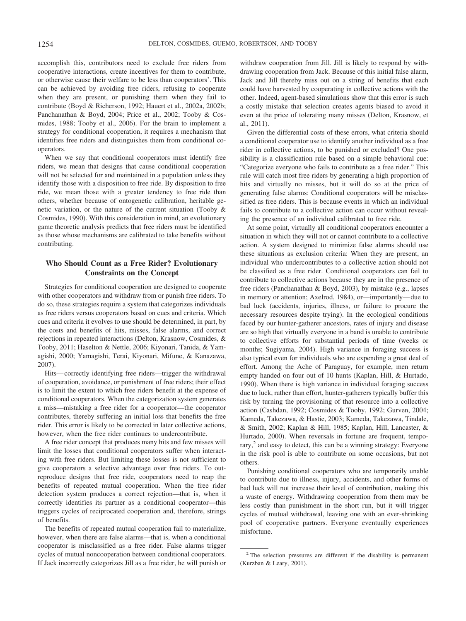accomplish this, contributors need to exclude free riders from cooperative interactions, create incentives for them to contribute, or otherwise cause their welfare to be less than cooperators'. This can be achieved by avoiding free riders, refusing to cooperate when they are present, or punishing them when they fail to contribute (Boyd & Richerson, 1992; Hauert et al., 2002a, 2002b; Panchanathan & Boyd, 2004; Price et al., 2002; Tooby & Cosmides, 1988; Tooby et al., 2006). For the brain to implement a strategy for conditional cooperation, it requires a mechanism that identifies free riders and distinguishes them from conditional cooperators.

When we say that conditional cooperators must identify free riders, we mean that designs that cause conditional cooperation will not be selected for and maintained in a population unless they identify those with a disposition to free ride. By disposition to free ride, we mean those with a greater tendency to free ride than others, whether because of ontogenetic calibration, heritable genetic variation, or the nature of the current situation (Tooby & Cosmides, 1990). With this consideration in mind, an evolutionary game theoretic analysis predicts that free riders must be identified as those whose mechanisms are calibrated to take benefits without contributing.

## **Who Should Count as a Free Rider? Evolutionary Constraints on the Concept**

Strategies for conditional cooperation are designed to cooperate with other cooperators and withdraw from or punish free riders. To do so, these strategies require a system that categorizes individuals as free riders versus cooperators based on cues and criteria. Which cues and criteria it evolves to use should be determined, in part, by the costs and benefits of hits, misses, false alarms, and correct rejections in repeated interactions (Delton, Krasnow, Cosmides, & Tooby, 2011; Haselton & Nettle, 2006; Kiyonari, Tanida, & Yamagishi, 2000; Yamagishi, Terai, Kiyonari, Mifune, & Kanazawa, 2007).

Hits— correctly identifying free riders—trigger the withdrawal of cooperation, avoidance, or punishment of free riders; their effect is to limit the extent to which free riders benefit at the expense of conditional cooperators. When the categorization system generates a miss—mistaking a free rider for a cooperator—the cooperator contributes, thereby suffering an initial loss that benefits the free rider. This error is likely to be corrected in later collective actions, however, when the free rider continues to undercontribute.

A free rider concept that produces many hits and few misses will limit the losses that conditional cooperators suffer when interacting with free riders. But limiting these losses is not sufficient to give cooperators a selective advantage over free riders. To outreproduce designs that free ride, cooperators need to reap the benefits of repeated mutual cooperation. When the free rider detection system produces a correct rejection—that is, when it correctly identifies its partner as a conditional cooperator—this triggers cycles of reciprocated cooperation and, therefore, strings of benefits.

The benefits of repeated mutual cooperation fail to materialize, however, when there are false alarms—that is, when a conditional cooperator is misclassified as a free rider. False alarms trigger cycles of mutual noncooperation between conditional cooperators. If Jack incorrectly categorizes Jill as a free rider, he will punish or

withdraw cooperation from Jill. Jill is likely to respond by withdrawing cooperation from Jack. Because of this initial false alarm, Jack and Jill thereby miss out on a string of benefits that each could have harvested by cooperating in collective actions with the other. Indeed, agent-based simulations show that this error is such a costly mistake that selection creates agents biased to avoid it even at the price of tolerating many misses (Delton, Krasnow, et al., 2011).

Given the differential costs of these errors, what criteria should a conditional cooperator use to identify another individual as a free rider in collective actions, to be punished or excluded? One possibility is a classification rule based on a simple behavioral cue: "Categorize everyone who fails to contribute as a free rider." This rule will catch most free riders by generating a high proportion of hits and virtually no misses, but it will do so at the price of generating false alarms: Conditional cooperators will be misclassified as free riders. This is because events in which an individual fails to contribute to a collective action can occur without revealing the presence of an individual calibrated to free ride.

At some point, virtually all conditional cooperators encounter a situation in which they will not or cannot contribute to a collective action. A system designed to minimize false alarms should use these situations as exclusion criteria: When they are present, an individual who undercontributes to a collective action should not be classified as a free rider. Conditional cooperators can fail to contribute to collective actions because they are in the presence of free riders (Panchanathan & Boyd, 2003), by mistake (e.g., lapses in memory or attention; Axelrod, 1984), or—importantly— due to bad luck (accidents, injuries, illness, or failure to procure the necessary resources despite trying). In the ecological conditions faced by our hunter-gatherer ancestors, rates of injury and disease are so high that virtually everyone in a band is unable to contribute to collective efforts for substantial periods of time (weeks or months; Sugiyama, 2004). High variance in foraging success is also typical even for individuals who are expending a great deal of effort. Among the Ache of Paraguay, for example, men return empty handed on four out of 10 hunts (Kaplan, Hill, & Hurtado, 1990). When there is high variance in individual foraging success due to luck, rather than effort, hunter-gatherers typically buffer this risk by turning the provisioning of that resource into a collective action (Cashdan, 1992; Cosmides & Tooby, 1992; Gurven, 2004; Kameda, Takezawa, & Hastie, 2003; Kameda, Takezawa, Tindale, & Smith, 2002; Kaplan & Hill, 1985; Kaplan, Hill, Lancaster, & Hurtado, 2000). When reversals in fortune are frequent, temporary, $^2$  and easy to detect, this can be a winning strategy: Everyone in the risk pool is able to contribute on some occasions, but not others.

Punishing conditional cooperators who are temporarily unable to contribute due to illness, injury, accidents, and other forms of bad luck will not increase their level of contribution, making this a waste of energy. Withdrawing cooperation from them may be less costly than punishment in the short run, but it will trigger cycles of mutual withdrawal, leaving one with an ever-shrinking pool of cooperative partners. Everyone eventually experiences misfortune.

<sup>2</sup> The selection pressures are different if the disability is permanent (Kurzban & Leary, 2001).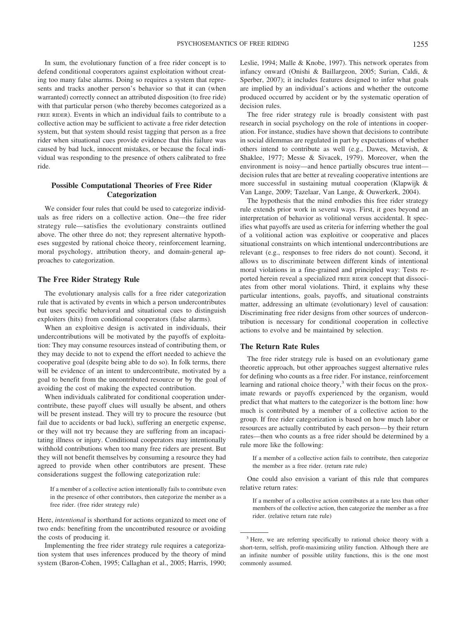In sum, the evolutionary function of a free rider concept is to defend conditional cooperators against exploitation without creating too many false alarms. Doing so requires a system that represents and tracks another person's behavior so that it can (when warranted) correctly connect an attributed disposition (to free ride) with that particular person (who thereby becomes categorized as a FREE RIDER). Events in which an individual fails to contribute to a collective action may be sufficient to activate a free rider detection system, but that system should resist tagging that person as a free rider when situational cues provide evidence that this failure was caused by bad luck, innocent mistakes, or because the focal individual was responding to the presence of others calibrated to free ride.

## **Possible Computational Theories of Free Rider Categorization**

We consider four rules that could be used to categorize individuals as free riders on a collective action. One—the free rider strategy rule—satisfies the evolutionary constraints outlined above. The other three do not; they represent alternative hypotheses suggested by rational choice theory, reinforcement learning, moral psychology, attribution theory, and domain-general approaches to categorization.

## **The Free Rider Strategy Rule**

The evolutionary analysis calls for a free rider categorization rule that is activated by events in which a person undercontributes but uses specific behavioral and situational cues to distinguish exploiters (hits) from conditional cooperators (false alarms).

When an exploitive design is activated in individuals, their undercontributions will be motivated by the payoffs of exploitation: They may consume resources instead of contributing them, or they may decide to not to expend the effort needed to achieve the cooperative goal (despite being able to do so). In folk terms, there will be evidence of an intent to undercontribute, motivated by a goal to benefit from the uncontributed resource or by the goal of avoiding the cost of making the expected contribution.

When individuals calibrated for conditional cooperation undercontribute, these payoff clues will usually be absent, and others will be present instead. They will try to procure the resource (but fail due to accidents or bad luck), suffering an energetic expense, or they will not try because they are suffering from an incapacitating illness or injury. Conditional cooperators may intentionally withhold contributions when too many free riders are present. But they will not benefit themselves by consuming a resource they had agreed to provide when other contributors are present. These considerations suggest the following categorization rule:

If a member of a collective action intentionally fails to contribute even in the presence of other contributors, then categorize the member as a free rider. (free rider strategy rule)

Here, *intentional* is shorthand for actions organized to meet one of two ends: benefiting from the uncontributed resource or avoiding the costs of producing it.

Implementing the free rider strategy rule requires a categorization system that uses inferences produced by the theory of mind system (Baron-Cohen, 1995; Callaghan et al., 2005; Harris, 1990; Leslie, 1994; Malle & Knobe, 1997). This network operates from infancy onward (Onishi & Baillargeon, 2005; Surian, Caldi, & Sperber, 2007); it includes features designed to infer what goals are implied by an individual's actions and whether the outcome produced occurred by accident or by the systematic operation of decision rules.

The free rider strategy rule is broadly consistent with past research in social psychology on the role of intentions in cooperation. For instance, studies have shown that decisions to contribute in social dilemmas are regulated in part by expectations of whether others intend to contribute as well (e.g., Dawes, Mctavish, & Shaklee, 1977; Messe & Sivacek, 1979). Moreover, when the environment is noisy—and hence partially obscures true intent decision rules that are better at revealing cooperative intentions are more successful in sustaining mutual cooperation (Klapwijk & Van Lange, 2009; Tazelaar, Van Lange, & Ouwerkerk, 2004).

The hypothesis that the mind embodies this free rider strategy rule extends prior work in several ways. First, it goes beyond an interpretation of behavior as volitional versus accidental. It specifies what payoffs are used as criteria for inferring whether the goal of a volitional action was exploitive or cooperative and places situational constraints on which intentional undercontributions are relevant (e.g., responses to free riders do not count). Second, it allows us to discriminate between different kinds of intentional moral violations in a fine-grained and principled way: Tests reported herein reveal a specialized FREE RIDER concept that dissociates from other moral violations. Third, it explains why these particular intentions, goals, payoffs, and situational constraints matter, addressing an ultimate (evolutionary) level of causation: Discriminating free rider designs from other sources of undercontribution is necessary for conditional cooperation in collective actions to evolve and be maintained by selection.

## **The Return Rate Rules**

The free rider strategy rule is based on an evolutionary game theoretic approach, but other approaches suggest alternative rules for defining who counts as a free rider. For instance, reinforcement learning and rational choice theory,<sup>3</sup> with their focus on the proximate rewards or payoffs experienced by the organism, would predict that what matters to the categorizer is the bottom line: how much is contributed by a member of a collective action to the group. If free rider categorization is based on how much labor or resources are actually contributed by each person— by their return rates—then who counts as a free rider should be determined by a rule more like the following:

If a member of a collective action fails to contribute, then categorize the member as a free rider. (return rate rule)

One could also envision a variant of this rule that compares relative return rates:

If a member of a collective action contributes at a rate less than other members of the collective action, then categorize the member as a free rider. (relative return rate rule)

<sup>&</sup>lt;sup>3</sup> Here, we are referring specifically to rational choice theory with a short-term, selfish, profit-maximizing utility function. Although there are an infinite number of possible utility functions, this is the one most commonly assumed.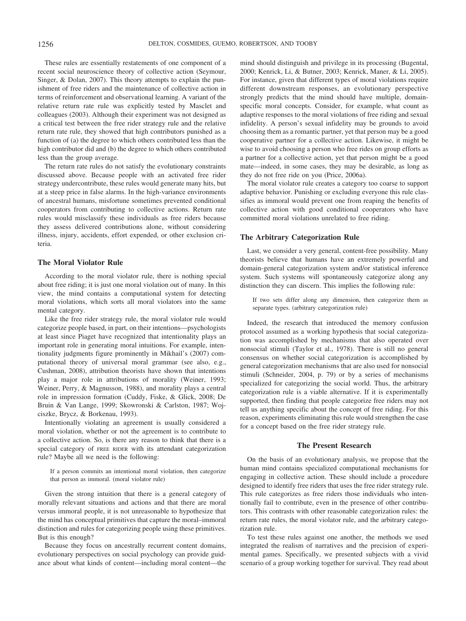These rules are essentially restatements of one component of a recent social neuroscience theory of collective action (Seymour, Singer, & Dolan, 2007). This theory attempts to explain the punishment of free riders and the maintenance of collective action in terms of reinforcement and observational learning. A variant of the relative return rate rule was explicitly tested by Masclet and colleagues (2003). Although their experiment was not designed as a critical test between the free rider strategy rule and the relative return rate rule, they showed that high contributors punished as a function of (a) the degree to which others contributed less than the high contributor did and (b) the degree to which others contributed less than the group average.

The return rate rules do not satisfy the evolutionary constraints discussed above. Because people with an activated free rider strategy undercontribute, these rules would generate many hits, but at a steep price in false alarms. In the high-variance environments of ancestral humans, misfortune sometimes prevented conditional cooperators from contributing to collective actions. Return rate rules would misclassify these individuals as free riders because they assess delivered contributions alone, without considering illness, injury, accidents, effort expended, or other exclusion criteria.

## **The Moral Violator Rule**

According to the moral violator rule, there is nothing special about free riding; it is just one moral violation out of many. In this view, the mind contains a computational system for detecting moral violations, which sorts all moral violators into the same mental category.

Like the free rider strategy rule, the moral violator rule would categorize people based, in part, on their intentions—psychologists at least since Piaget have recognized that intentionality plays an important role in generating moral intuitions. For example, intentionality judgments figure prominently in Mikhail's (2007) computational theory of universal moral grammar (see also, e.g., Cushman, 2008), attribution theorists have shown that intentions play a major role in attributions of morality (Weiner, 1993; Weiner, Perry, & Magnusson, 1988), and morality plays a central role in impression formation (Cuddy, Fiske, & Glick, 2008; De Bruin & Van Lange, 1999; Skowronski & Carlston, 1987; Wojciszke, Brycz, & Borkenau, 1993).

Intentionally violating an agreement is usually considered a moral violation, whether or not the agreement is to contribute to a collective action. So, is there any reason to think that there is a special category of FREE RIDER with its attendant categorization rule? Maybe all we need is the following:

If a person commits an intentional moral violation, then categorize that person as immoral. (moral violator rule)

Given the strong intuition that there is a general category of morally relevant situations and actions and that there are moral versus immoral people, it is not unreasonable to hypothesize that the mind has conceptual primitives that capture the moral–immoral distinction and rules for categorizing people using these primitives. But is this enough?

Because they focus on ancestrally recurrent content domains, evolutionary perspectives on social psychology can provide guidance about what kinds of content—including moral content—the

mind should distinguish and privilege in its processing (Bugental, 2000; Kenrick, Li, & Butner, 2003; Kenrick, Maner, & Li, 2005). For instance, given that different types of moral violations require different downstream responses, an evolutionary perspective strongly predicts that the mind should have multiple, domainspecific moral concepts. Consider, for example, what count as adaptive responses to the moral violations of free riding and sexual infidelity. A person's sexual infidelity may be grounds to avoid choosing them as a romantic partner, yet that person may be a good cooperative partner for a collective action. Likewise, it might be wise to avoid choosing a person who free rides on group efforts as a partner for a collective action, yet that person might be a good mate—indeed, in some cases, they may be desirable, as long as they do not free ride on you (Price, 2006a).

The moral violator rule creates a category too coarse to support adaptive behavior. Punishing or excluding everyone this rule classifies as immoral would prevent one from reaping the benefits of collective action with good conditional cooperators who have committed moral violations unrelated to free riding.

## **The Arbitrary Categorization Rule**

Last, we consider a very general, content-free possibility. Many theorists believe that humans have an extremely powerful and domain-general categorization system and/or statistical inference system. Such systems will spontaneously categorize along any distinction they can discern. This implies the following rule:

If two sets differ along any dimension, then categorize them as separate types. (arbitrary categorization rule)

Indeed, the research that introduced the memory confusion protocol assumed as a working hypothesis that social categorization was accomplished by mechanisms that also operated over nonsocial stimuli (Taylor et al., 1978). There is still no general consensus on whether social categorization is accomplished by general categorization mechanisms that are also used for nonsocial stimuli (Schneider, 2004, p. 79) or by a series of mechanisms specialized for categorizing the social world. Thus, the arbitrary categorization rule is a viable alternative. If it is experimentally supported, then finding that people categorize free riders may not tell us anything specific about the concept of free riding. For this reason, experiments eliminating this rule would strengthen the case for a concept based on the free rider strategy rule.

#### **The Present Research**

On the basis of an evolutionary analysis, we propose that the human mind contains specialized computational mechanisms for engaging in collective action. These should include a procedure designed to identify free riders that uses the free rider strategy rule. This rule categorizes as free riders those individuals who intentionally fail to contribute, even in the presence of other contributors. This contrasts with other reasonable categorization rules: the return rate rules, the moral violator rule, and the arbitrary categorization rule.

To test these rules against one another, the methods we used integrated the realism of narratives and the precision of experimental games. Specifically, we presented subjects with a vivid scenario of a group working together for survival. They read about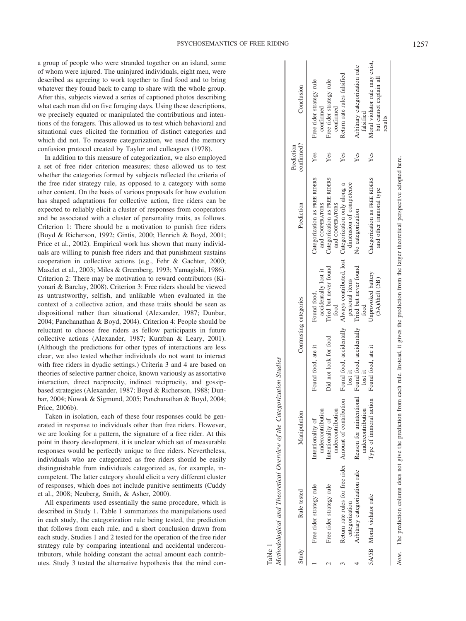$\mathbf{I}$ 

 $\overline{1}$ 

a group of people who were stranded together on an island, some of whom were injured. The uninjured individuals, eight men, were described as agreeing to work together to find food and to bring whatever they found back to camp to share with the whole group. After this, subjects viewed a series of captioned photos describing what each man did on five foraging days. Using these descriptions, we precisely equated or manipulated the contributions and intentions of the foragers. This allowed us to test which behavioral and situational cues elicited the formation of distinct categories and which did not. To measure categorization, we used the memory confusion protocol created by Taylor and colleagues (1978).

In addition to this measure of categorization, we also employed a set of free rider criterion measures; these allowed us to test whether the categories formed by subjects reflected the criteria of the free rider strategy rule, as opposed to a category with some other content. On the basis of various proposals for how evolution has shaped adaptations for collective action, free riders can be expected to reliably elicit a cluster of responses from cooperators and be associated with a cluster of personality traits, as follows. Criterion 1: There should be a motivation to punish free riders (Boyd & Richerson, 1992; Gintis, 2000; Henrich & Boyd, 2001; Price et al., 2002). Empirical work has shown that many individuals are willing to punish free riders and that punishment sustains cooperation in collective actions (e.g., Fehr & Gachter, 2000; Masclet et al., 2003; Miles & Greenberg, 1993; Yamagishi, 1986). Criterion 2: There may be motivation to reward contributors (Kiyonari & Barclay, 2008). Criterion 3: Free riders should be viewed as untrustworthy, selfish, and unlikable when evaluated in the context of a collective action, and these traits should be seen as dispositional rather than situational (Alexander, 1987; Dunbar, 2004; Panchanathan & Boyd, 2004). Criterion 4: People should be reluctant to choose free riders as fellow participants in future collective actions (Alexander, 1987; Kurzban & Leary, 2001). (Although the predictions for other types of interactions are less clear, we also tested whether individuals do not want to interact with free riders in dyadic settings.) Criteria 3 and 4 are based on theories of selective partner choice, known variously as assortative interaction, direct reciprocity, indirect reciprocity, and gossipbased strategies (Alexander, 1987; Boyd & Richerson, 1988; Dunbar, 2004; Nowak & Sigmund, 2005; Panchanathan & Boyd, 2004; Price, 2006b).

Taken in isolation, each of these four responses could be generated in response to individuals other than free riders. However, we are looking for a pattern, the signature of a free rider. At this point in theory development, it is unclear which set of measurable responses would be perfectly unique to free riders. Nevertheless, individuals who are categorized as free riders should be easily distinguishable from individuals categorized as, for example, incompetent. The latter category should elicit a very different cluster of responses, which does not include punitive sentiments (Cuddy et al., 2008; Neuberg, Smith, & Asher, 2000).

All experiments used essentially the same procedure, which is described in Study 1. Table 1 summarizes the manipulations used in each study, the categorization rule being tested, the prediction that follows from each rule, and a short conclusion drawn from each study. Studies 1 and 2 tested for the operation of the free rider strategy rule by comparing intentional and accidental undercontributors, while holding constant the actual amount each contributes. Study 3 tested the alternative hypothesis that the mind con-

Table 1

*Note*. The prediction column does not give the prediction from each rule. Instead, it gives the prediction from the larger theoretical perspective adopted here. The prediction column does not give the prediction from each rule. Instead, it gives the prediction from the larger theoretical perspective adopted here Note.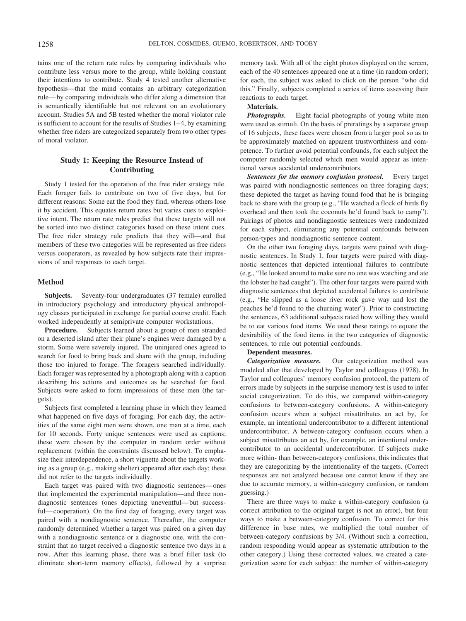tains one of the return rate rules by comparing individuals who contribute less versus more to the group, while holding constant their intentions to contribute. Study 4 tested another alternative hypothesis—that the mind contains an arbitrary categorization rule— by comparing individuals who differ along a dimension that is semantically identifiable but not relevant on an evolutionary account. Studies 5A and 5B tested whether the moral violator rule is sufficient to account for the results of Studies  $1-4$ , by examining whether free riders are categorized separately from two other types of moral violator.

## **Study 1: Keeping the Resource Instead of Contributing**

Study 1 tested for the operation of the free rider strategy rule. Each forager fails to contribute on two of five days, but for different reasons: Some eat the food they find, whereas others lose it by accident. This equates return rates but varies cues to exploitive intent. The return rate rules predict that these targets will not be sorted into two distinct categories based on these intent cues. The free rider strategy rule predicts that they will—and that members of these two categories will be represented as free riders versus cooperators, as revealed by how subjects rate their impressions of and responses to each target.

## **Method**

**Subjects.** Seventy-four undergraduates (37 female) enrolled in introductory psychology and introductory physical anthropology classes participated in exchange for partial course credit. Each worked independently at semiprivate computer workstations.

**Procedure.** Subjects learned about a group of men stranded on a deserted island after their plane's engines were damaged by a storm. Some were severely injured. The uninjured ones agreed to search for food to bring back and share with the group, including those too injured to forage. The foragers searched individually. Each forager was represented by a photograph along with a caption describing his actions and outcomes as he searched for food. Subjects were asked to form impressions of these men (the targets).

Subjects first completed a learning phase in which they learned what happened on five days of foraging. For each day, the activities of the same eight men were shown, one man at a time, each for 10 seconds. Forty unique sentences were used as captions; these were chosen by the computer in random order without replacement (within the constraints discussed below). To emphasize their interdependence, a short vignette about the targets working as a group (e.g., making shelter) appeared after each day; these did not refer to the targets individually.

Each target was paired with two diagnostic sentences— ones that implemented the experimental manipulation—and three nondiagnostic sentences (ones depicting uneventful— but successful— cooperation). On the first day of foraging, every target was paired with a nondiagnostic sentence. Thereafter, the computer randomly determined whether a target was paired on a given day with a nondiagnostic sentence or a diagnostic one, with the constraint that no target received a diagnostic sentence two days in a row. After this learning phase, there was a brief filler task (to eliminate short-term memory effects), followed by a surprise

memory task. With all of the eight photos displayed on the screen, each of the 40 sentences appeared one at a time (in random order); for each, the subject was asked to click on the person "who did this." Finally, subjects completed a series of items assessing their reactions to each target.

### **Materials.**

*Photographs.* Eight facial photographs of young white men were used as stimuli. On the basis of preratings by a separate group of 16 subjects, these faces were chosen from a larger pool so as to be approximately matched on apparent trustworthiness and competence. To further avoid potential confounds, for each subject the computer randomly selected which men would appear as intentional versus accidental undercontributors.

*Sentences for the memory confusion protocol.* Every target was paired with nondiagnostic sentences on three foraging days; these depicted the target as having found food that he is bringing back to share with the group (e.g., "He watched a flock of birds fly overhead and then took the coconuts he'd found back to camp"). Pairings of photos and nondiagnostic sentences were randomized for each subject, eliminating any potential confounds between person-types and nondiagnostic sentence content.

On the other two foraging days, targets were paired with diagnostic sentences. In Study 1, four targets were paired with diagnostic sentences that depicted intentional failures to contribute (e.g., "He looked around to make sure no one was watching and ate the lobster he had caught"). The other four targets were paired with diagnostic sentences that depicted accidental failures to contribute (e.g., "He slipped as a loose river rock gave way and lost the peaches he'd found to the churning water"). Prior to constructing the sentences, 63 additional subjects rated how willing they would be to eat various food items. We used these ratings to equate the desirability of the food items in the two categories of diagnostic sentences, to rule out potential confounds.

#### **Dependent measures.**

*Categorization measure.* Our categorization method was modeled after that developed by Taylor and colleagues (1978). In Taylor and colleagues' memory confusion protocol, the pattern of errors made by subjects in the surprise memory test is used to infer social categorization. To do this, we compared within-category confusions to between-category confusions. A within-category confusion occurs when a subject misattributes an act by, for example, an intentional undercontributor to a different intentional undercontributor. A between-category confusion occurs when a subject misattributes an act by, for example, an intentional undercontributor to an accidental undercontributor. If subjects make more within- than between-category confusions, this indicates that they are categorizing by the intentionality of the targets. (Correct responses are not analyzed because one cannot know if they are due to accurate memory, a within-category confusion, or random guessing.)

There are three ways to make a within-category confusion (a correct attribution to the original target is not an error), but four ways to make a between-category confusion. To correct for this difference in base rates, we multiplied the total number of between-category confusions by 3/4. (Without such a correction, random responding would appear as systematic attribution to the other category.) Using these corrected values, we created a categorization score for each subject: the number of within-category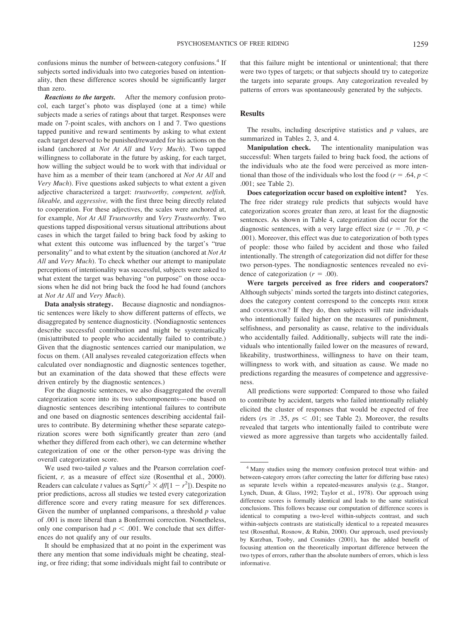confusions minus the number of between-category confusions.<sup>4</sup> If subjects sorted individuals into two categories based on intentionality, then these difference scores should be significantly larger than zero.

*Reactions to the targets.* After the memory confusion protocol, each target's photo was displayed (one at a time) while subjects made a series of ratings about that target. Responses were made on 7-point scales, with anchors on 1 and 7. Two questions tapped punitive and reward sentiments by asking to what extent each target deserved to be punished/rewarded for his actions on the island (anchored at *Not At All* and *Very Much*). Two tapped willingness to collaborate in the future by asking, for each target, how willing the subject would be to work with that individual or have him as a member of their team (anchored at *Not At All* and *Very Much*). Five questions asked subjects to what extent a given adjective characterized a target: *trustworthy, competent, selfish, likeable,* and *aggressive,* with the first three being directly related to cooperation. For these adjectives, the scales were anchored at, for example, *Not At All Trustworthy* and *Very Trustworthy.* Two questions tapped dispositional versus situational attributions about cases in which the target failed to bring back food by asking to what extent this outcome was influenced by the target's "true personality" and to what extent by the situation (anchored at *Not At All* and *Very Much*). To check whether our attempt to manipulate perceptions of intentionality was successful, subjects were asked to what extent the target was behaving "on purpose" on those occasions when he did not bring back the food he had found (anchors at *Not At All* and *Very Much*).

**Data analysis strategy.** Because diagnostic and nondiagnostic sentences were likely to show different patterns of effects, we disaggregated by sentence diagnosticity. (Nondiagnostic sentences describe successful contribution and might be systematically (mis)attributed to people who accidentally failed to contribute.) Given that the diagnostic sentences carried our manipulation, we focus on them. (All analyses revealed categorization effects when calculated over nondiagnostic and diagnostic sentences together, but an examination of the data showed that these effects were driven entirely by the diagnostic sentences.)

For the diagnostic sentences, we also disaggregated the overall categorization score into its two subcomponents— one based on diagnostic sentences describing intentional failures to contribute and one based on diagnostic sentences describing accidental failures to contribute. By determining whether these separate categorization scores were both significantly greater than zero (and whether they differed from each other), we can determine whether categorization of one or the other person-type was driving the overall categorization score.

We used two-tailed *p* values and the Pearson correlation coefficient, *r*, as a measure of effect size (Rosenthal et al., 2000). Readers can calculate *t* values as Sqrt( $r^2 \times df/[1 - r^2]$ ). Despite no prior predictions, across all studies we tested every categorization difference score and every rating measure for sex differences. Given the number of unplanned comparisons, a threshold *p* value of .001 is more liberal than a Bonferroni correction. Nonetheless, only one comparison had  $p < .001$ . We conclude that sex differences do not qualify any of our results.

It should be emphasized that at no point in the experiment was there any mention that some individuals might be cheating, stealing, or free riding; that some individuals might fail to contribute or that this failure might be intentional or unintentional; that there were two types of targets; or that subjects should try to categorize the targets into separate groups. Any categorization revealed by patterns of errors was spontaneously generated by the subjects.

## **Results**

The results, including descriptive statistics and *p* values, are summarized in Tables 2, 3, and 4.

**Manipulation check.** The intentionality manipulation was successful: When targets failed to bring back food, the actions of the individuals who ate the food were perceived as more intentional than those of the individuals who lost the food ( $r = .64$ ,  $p <$ .001; see Table 2).

**Does categorization occur based on exploitive intent?** Yes. The free rider strategy rule predicts that subjects would have categorization scores greater than zero, at least for the diagnostic sentences. As shown in Table 4, categorization did occur for the diagnostic sentences, with a very large effect size  $(r = .70, p <$ .001). Moreover, this effect was due to categorization of both types of people: those who failed by accident and those who failed intentionally. The strength of categorization did not differ for these two person-types. The nondiagnostic sentences revealed no evidence of categorization  $(r = .00)$ .

**Were targets perceived as free riders and cooperators?** Although subjects' minds sorted the targets into distinct categories, does the category content correspond to the concepts FREE RIDER and COOPERATOR? If they do, then subjects will rate individuals who intentionally failed higher on the measures of punishment, selfishness, and personality as cause, relative to the individuals who accidentally failed. Additionally, subjects will rate the individuals who intentionally failed lower on the measures of reward, likeability, trustworthiness, willingness to have on their team, willingness to work with, and situation as cause. We made no predictions regarding the measures of competence and aggressiveness.

All predictions were supported: Compared to those who failed to contribute by accident, targets who failed intentionally reliably elicited the cluster of responses that would be expected of free riders ( $rs \geq 0.35$ ,  $ps < 0.01$ ; see Table 2). Moreover, the results revealed that targets who intentionally failed to contribute were viewed as more aggressive than targets who accidentally failed.

<sup>4</sup> Many studies using the memory confusion protocol treat within- and between-category errors (after correcting the latter for differing base rates) as separate levels within a repeated-measures analysis (e.g., Stangor, Lynch, Duan, & Glass, 1992; Taylor et al., 1978). Our approach using difference scores is formally identical and leads to the same statistical conclusions. This follows because our computation of difference scores is identical to computing a two-level within-subjects contrast, and such within-subjects contrasts are statistically identical to a repeated measures test (Rosenthal, Rosnow, & Rubin, 2000). Our approach, used previously by Kurzban, Tooby, and Cosmides (2001), has the added benefit of focusing attention on the theoretically important difference between the two types of errors, rather than the absolute numbers of errors, which is less informative.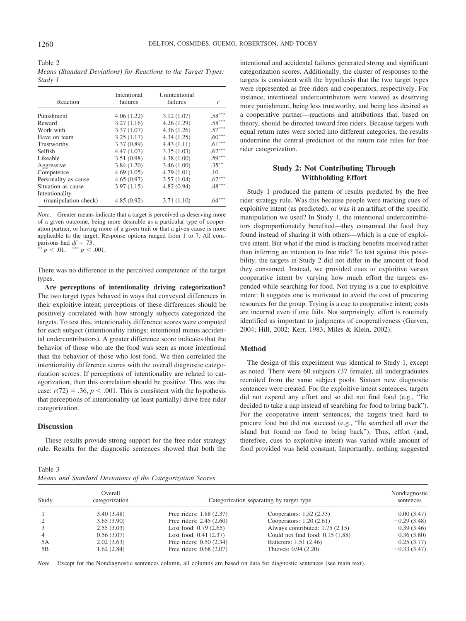| Table 2                                                        |  |  |
|----------------------------------------------------------------|--|--|
| Means (Standard Deviations) for Reactions to the Target Types: |  |  |
| Study 1                                                        |  |  |

| Reaction             | Intentional<br>failures | Unintentional<br>failures | r        |
|----------------------|-------------------------|---------------------------|----------|
|                      |                         |                           |          |
| Punishment           | 4.06(1.22)              | 3.12(1.07)                | $.58***$ |
| Reward               | 3.27(1.16)              | 4.26(1.29)                | $.58***$ |
| Work with            | 3.37(1.07)              | 4.36(1.26)                | $.57***$ |
| Have on team         | 3.25(1.17)              | 4.34(1.25)                | $.60***$ |
| Trustworthy          | 3.37(0.89)              | 4.43(1.11)                | $.61***$ |
| Selfish              | 4.47(1.07)              | 3.35(1.03)                | $.62***$ |
| Likeable             | 3.51(0.98)              | 4.38(1.00)                | $.59***$ |
| Aggressive           | 3.84(1.20)              | 3.46(1.00)                | $.35***$ |
| Competence           | 4.69(1.05)              | 4.79(1.01)                | .10      |
| Personality as cause | 4.65(0.97)              | 3.57(1.04)                | $.62***$ |
| Situation as cause   | 3.97(1.15)              | 4.82(0.94)                | $.48***$ |
| Intentionality       |                         |                           |          |
| (manipulation check) | 4.85(0.92)              | 3.71(1.10)                | $.64***$ |

*Note*. Greater means indicate that a target is perceived as deserving more of a given outcome, being more desirable as a particular type of cooperation partner, or having more of a given trait or that a given cause is more applicable to the target. Response options ranged from 1 to 7. All comparisons had  $df = 73$ .<br>\*\*  $p < .01$ . \*\*\*  $p < .001$ .

There was no difference in the perceived competence of the target types.

**Are perceptions of intentionality driving categorization?** The two target types behaved in ways that conveyed differences in their exploitive intent; perceptions of these differences should be positively correlated with how strongly subjects categorized the targets. To test this, intentionality difference scores were computed for each subject (intentionality ratings: intentional minus accidental undercontributors). A greater difference score indicates that the behavior of those who ate the food was seen as more intentional than the behavior of those who lost food. We then correlated the intentionality difference scores with the overall diagnostic categorization scores. If perceptions of intentionality are related to categorization, then this correlation should be positive. This was the case:  $r(72) = .36$ ,  $p < .001$ . This is consistent with the hypothesis that perceptions of intentionality (at least partially) drive free rider categorization.

## **Discussion**

These results provide strong support for the free rider strategy rule. Results for the diagnostic sentences showed that both the

Table 3 *Means and Standard Deviations of the Categorization Scores*

intentional and accidental failures generated strong and significant categorization scores. Additionally, the cluster of responses to the targets is consistent with the hypothesis that the two target types were represented as free riders and cooperators, respectively. For instance, intentional undercontributors were viewed as deserving more punishment, being less trustworthy, and being less desired as a cooperative partner—reactions and attributions that, based on theory, should be directed toward free riders. Because targets with equal return rates were sorted into different categories, the results undermine the central prediction of the return rate rules for free rider categorization.

## **Study 2: Not Contributing Through Withholding Effort**

Study 1 produced the pattern of results predicted by the free rider strategy rule. Was this because people were tracking cues of exploitive intent (as predicted), or was it an artifact of the specific manipulation we used? In Study 1, the intentional undercontributors disproportionately benefited—they consumed the food they found instead of sharing it with others—which is a cue of exploitive intent. But what if the mind is tracking benefits received rather than inferring an intention to free ride? To test against this possibility, the targets in Study 2 did not differ in the amount of food they consumed. Instead, we provided cues to exploitive versus cooperative intent by varying how much effort the targets expended while searching for food. Not trying is a cue to exploitive intent: It suggests one is motivated to avoid the cost of procuring resources for the group. Trying is a cue to cooperative intent; costs are incurred even if one fails. Not surprisingly, effort is routinely identified as important to judgments of cooperativeness (Gurven, 2004; Hill, 2002; Kerr, 1983; Miles & Klein, 2002).

## **Method**

The design of this experiment was identical to Study 1, except as noted. There were 60 subjects (37 female), all undergraduates recruited from the same subject pools. Sixteen new diagnostic sentences were created. For the exploitive intent sentences, targets did not expend any effort and so did not find food (e.g., "He decided to take a nap instead of searching for food to bring back"). For the cooperative intent sentences, the targets tried hard to procure food but did not succeed (e.g., "He searched all over the island but found no food to bring back"). Thus, effort (and, therefore, cues to exploitive intent) was varied while amount of food provided was held constant. Importantly, nothing suggested

| Study | Overall<br>categorization |                           | Categorization separating by target type | Nondiagnostic<br>sentences |
|-------|---------------------------|---------------------------|------------------------------------------|----------------------------|
|       | 3.40(3.48)                | Free riders: 1.88 (2.37)  | Cooperators: 1.52 (2.33)                 | 0.00(3.47)                 |
|       | 3.65(3.90)                | Free riders: $2.45(2.60)$ | Cooperators: $1.20(2.61)$                | $-0.29(3.48)$              |
|       | 2.55(3.03)                | Lost food: $0.79(2.65)$   | Always contributed: 1.75 (2.15)          | 0.39(3.46)                 |
|       | 0.56(3.07)                | Lost food: $0.41(2.37)$   | Could not find food: $0.15(1.88)$        | 0.36(3.80)                 |
| 5A    | 2.02(3.63)                | Free riders: $0.50(2.34)$ | Batterers: 1.51 (2.46)                   | 0.25(3.77)                 |
| 5B    | 1.62(2.84)                | Free riders: 0.68 (2.07)  | Thieves: 0.94 (2.20)                     | $-0.33(3.47)$              |

*Note.* Except for the Nondiagnostic sentences column, all columns are based on data for diagnostic sentences (see main text).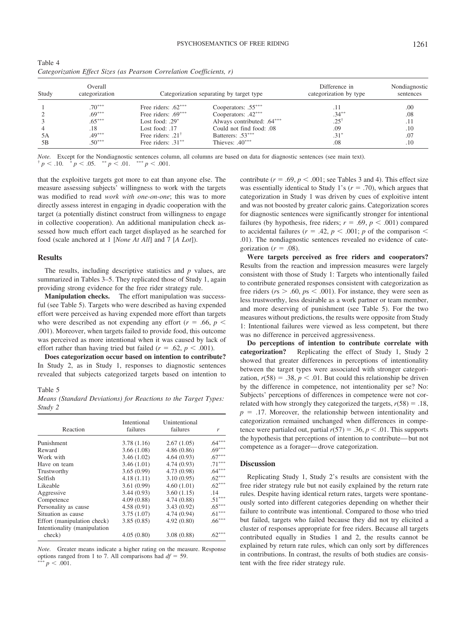| Table 4                                                              |  |  |  |
|----------------------------------------------------------------------|--|--|--|
| Categorization Effect Sizes (as Pearson Correlation Coefficients, r) |  |  |  |

| Study | Overall<br>categorization |                              | Categorization separating by target type | Difference in<br>categorization by type | Nondiagnostic<br>sentences |
|-------|---------------------------|------------------------------|------------------------------------------|-----------------------------------------|----------------------------|
|       | $.70***$                  | Free riders: $.62***$        | Cooperators: $.55***$                    |                                         | .00                        |
|       | $.69***$                  | Free riders: $.69***$        | Cooperators: .42***                      | $.34***$                                | .08                        |
|       | $.65***$                  | Lost food: $.29*$            | Always contributed: .64***               | $.25^{\circ}$                           |                            |
|       | .18                       | Lost food: .17               | Could not find food: .08                 | .09                                     | .10                        |
| 5Α    | $.49***$                  | Free riders: $.21^{\dagger}$ | Batterers: .53***                        | $.31^{\circ}$                           | .07                        |
| 5Β    | $.50***$                  | Free riders: $.31***$        | Thieves: $.40***$                        | .08                                     | .10                        |

*Note.* Except for the Nondiagnostic sentences column, all columns are based on data for diagnostic sentences (see main text).  $\frac{p}{p} < 0.01$ .  $\frac{p}{p} < 0.01$ .  $\frac{p}{p} < 0.01$ .

that the exploitive targets got more to eat than anyone else. The measure assessing subjects' willingness to work with the targets was modified to read *work with one-on-one*; this was to more directly assess interest in engaging in dyadic cooperation with the target (a potentially distinct construct from willingness to engage in collective cooperation). An additional manipulation check assessed how much effort each target displayed as he searched for food (scale anchored at 1 [*None At All*] and 7 [*A Lot*]).

## **Results**

The results, including descriptive statistics and *p* values, are summarized in Tables 3–5. They replicated those of Study 1, again providing strong evidence for the free rider strategy rule.

**Manipulation checks.** The effort manipulation was successful (see Table 5). Targets who were described as having expended effort were perceived as having expended more effort than targets who were described as not expending any effort ( $r = .66$ ,  $p <$ .001). Moreover, when targets failed to provide food, this outcome was perceived as more intentional when it was caused by lack of effort rather than having tried but failed ( $r = .62$ ,  $p < .001$ ).

**Does categorization occur based on intention to contribute?** In Study 2, as in Study 1, responses to diagnostic sentences revealed that subjects categorized targets based on intention to

#### Table 5

*Means (Standard Deviations) for Reactions to the Target Types: Study 2*

| Reaction                      | Intentional<br>failures | Unintentional<br>failures | r        |
|-------------------------------|-------------------------|---------------------------|----------|
| Punishment                    | 3.78(1.16)              | 2.67(1.05)                | $.64***$ |
| Reward                        | 3.66(1.08)              | 4.86(0.86)                | $.69***$ |
| Work with                     | 3.46(1.02)              | 4.64(0.93)                | $.67***$ |
| Have on team                  | 3.46(1.01)              | 4.74(0.93)                | $.71***$ |
| Trustworthy                   | 3.65(0.99)              | 4.73 (0.98)               | $.64***$ |
| Selfish                       | 4.18(1.11)              | 3.10(0.95)                | $.62***$ |
| Likeable                      | 3.61(0.99)              | 4.60(1.01)                | $.62***$ |
| Aggressive                    | 3.44(0.93)              | 3.60(1.15)                | .14      |
| Competence                    | 4.09(0.88)              | 4.74(0.88)                | $.51***$ |
| Personality as cause          | 4.58(0.91)              | 3.43(0.92)                | $.65***$ |
| Situation as cause            | 3.75(1.07)              | 4.74(0.94)                | $.61***$ |
| Effort (manipulation check)   | 3.85(0.85)              | 4.92(0.80)                | $.66***$ |
| Intentionality (manipulation) |                         |                           |          |
| check)                        | 4.05(0.80)              | 3.08(0.88)                | $.62***$ |
|                               |                         |                           |          |

*Note.* Greater means indicate a higher rating on the measure. Response options ranged from 1 to 7. All comparisons had  $df = 59$ .<br> *p*  $p < .001$ .

contribute ( $r = .69$ ,  $p < .001$ ; see Tables 3 and 4). This effect size was essentially identical to Study 1's  $(r = .70)$ , which argues that categorization in Study 1 was driven by cues of exploitive intent and was not boosted by greater caloric gains. Categorization scores for diagnostic sentences were significantly stronger for intentional failures (by hypothesis, free riders;  $r = .69$ ,  $p < .001$ ) compared to accidental failures ( $r = .42$ ,  $p < .001$ ;  $p$  of the comparison  $\leq$ .01). The nondiagnostic sentences revealed no evidence of categorization ( $r = .08$ ).

**Were targets perceived as free riders and cooperators?** Results from the reaction and impression measures were largely consistent with those of Study 1: Targets who intentionally failed to contribute generated responses consistent with categorization as free riders ( $rs$  > .60,  $ps$  < .001). For instance, they were seen as less trustworthy, less desirable as a work partner or team member, and more deserving of punishment (see Table 5). For the two measures without predictions, the results were opposite from Study 1: Intentional failures were viewed as less competent, but there was no difference in perceived aggressiveness.

**Do perceptions of intention to contribute correlate with categorization?** Replicating the effect of Study 1, Study 2 showed that greater differences in perceptions of intentionality between the target types were associated with stronger categorization,  $r(58) = .38$ ,  $p < .01$ . But could this relationship be driven by the difference in competence, not intentionality per se? No: Subjects' perceptions of differences in competence were not correlated with how strongly they categorized the targets,  $r(58) = .18$ ,  $p = .17$ . Moreover, the relationship between intentionality and categorization remained unchanged when differences in competence were partialed out, partial  $r(57) = .36$ ,  $p < .01$ . This supports the hypothesis that perceptions of intention to contribute— but not competence as a forager— drove categorization.

## **Discussion**

Replicating Study 1, Study 2's results are consistent with the free rider strategy rule but not easily explained by the return rate rules. Despite having identical return rates, targets were spontaneously sorted into different categories depending on whether their failure to contribute was intentional. Compared to those who tried but failed, targets who failed because they did not try elicited a cluster of responses appropriate for free riders. Because all targets contributed equally in Studies 1 and 2, the results cannot be explained by return rate rules, which can only sort by differences in contributions. In contrast, the results of both studies are consistent with the free rider strategy rule.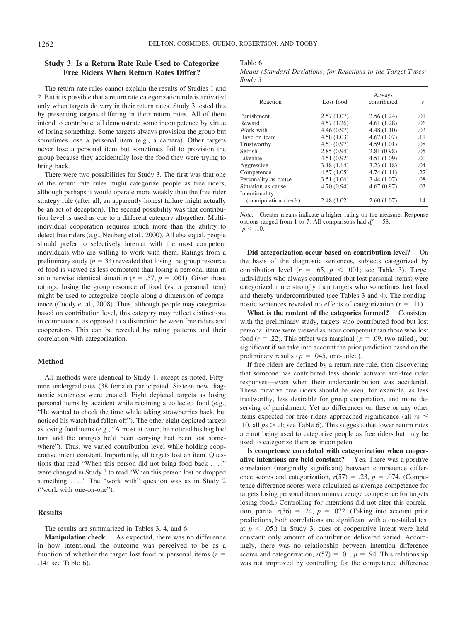## **Study 3: Is a Return Rate Rule Used to Categorize Free Riders When Return Rates Differ?**

The return rate rules cannot explain the results of Studies 1 and 2. But it is possible that a return rate categorization rule is activated only when targets do vary in their return rates. Study 3 tested this by presenting targets differing in their return rates. All of them intend to contribute, all demonstrate some incompetence by virtue of losing something. Some targets always provision the group but sometimes lose a personal item (e.g., a camera). Other targets never lose a personal item but sometimes fail to provision the group because they accidentally lose the food they were trying to bring back.

There were two possibilities for Study 3. The first was that one of the return rate rules might categorize people as free riders, although perhaps it would operate more weakly than the free rider strategy rule (after all, an apparently honest failure might actually be an act of deception). The second possibility was that contribution level is used as cue to a different category altogether. Multiindividual cooperation requires much more than the ability to detect free riders (e.g., Neuberg et al., 2000). All else equal, people should prefer to selectively interact with the most competent individuals who are willing to work with them. Ratings from a preliminary study  $(n = 34)$  revealed that losing the group resource of food is viewed as less competent than losing a personal item in an otherwise identical situation ( $r = .57$ ,  $p = .001$ ). Given those ratings, losing the group resource of food (vs. a personal item) might be used to categorize people along a dimension of competence (Cuddy et al., 2008). Thus, although people may categorize based on contribution level, this category may reflect distinctions in competence, as opposed to a distinction between free riders and cooperators. This can be revealed by rating patterns and their correlation with categorization.

## **Method**

All methods were identical to Study 1, except as noted. Fiftynine undergraduates (38 female) participated. Sixteen new diagnostic sentences were created. Eight depicted targets as losing personal items by accident while retaining a collected food (e.g., "He wanted to check the time while taking strawberries back, but noticed his watch had fallen off"). The other eight depicted targets as losing food items (e.g., "Almost at camp, he noticed his bag had torn and the oranges he'd been carrying had been lost somewhere"). Thus, we varied contribution level while holding cooperative intent constant. Importantly, all targets lost an item. Questions that read "When this person did not bring food back ...." were changed in Study 3 to read "When this person lost or dropped something ...." The "work with" question was as in Study 2 ("work with one-on-one").

#### **Results**

The results are summarized in Tables 3, 4, and 6.

**Manipulation check.** As expected, there was no difference in how intentional the outcome was perceived to be as a function of whether the target lost food or personal items  $(r =$ .14; see Table 6).

#### Table 6

| Means (Standard Deviations) for Reactions to the Target Types: |  |  |  |
|----------------------------------------------------------------|--|--|--|
| Study 3                                                        |  |  |  |

|                      |             | Always      |           |
|----------------------|-------------|-------------|-----------|
| Reaction             | Lost food   | contributed | r         |
| Punishment           | 2.57(1.07)  | 2.56(1.24)  | .01       |
| Reward               | 4.57(1.26)  | 4.61(1.28)  | .06       |
| Work with            | 4.46(0.97)  | 4.48(1.10)  | .03       |
| Have on team         | 4.58(1.03)  | 4.67(1.07)  | .11       |
| Trustworthy          | 4.53(0.97)  | 4.59(1.01)  | .08       |
| Selfish              | 2.85(0.94)  | 2.81(0.98)  | .05       |
| Likeable             | 4.51(0.92)  | 4.51(1.09)  | .00       |
| Aggressive           | 3.18(1.14)  | 3.23(1.18)  | .04       |
| Competence           | 4.57(1.05)  | 4.74(1.11)  | $.22^{+}$ |
| Personality as cause | 3.51(1.06)  | 3.44(1.07)  | .08       |
| Situation as cause   | 4.70 (0.94) | 4.67(0.97)  | .03       |
| Intentionality       |             |             |           |
| (manipulation check) | 2.48(1.02)  | 2.60(1.07)  | .14       |
|                      |             |             |           |

*Note.* Greater means indicate a higher rating on the measure. Response options ranged from 1 to 7. All comparisons had  $df = 58$ .  $p < .10$ .

**Did categorization occur based on contribution level?** On the basis of the diagnostic sentences, subjects categorized by contribution level  $(r = .65, p < .001;$  see Table 3). Target individuals who always contributed (but lost personal items) were categorized more strongly than targets who sometimes lost food and thereby undercontributed (see Tables 3 and 4). The nondiagnostic sentences revealed no effects of categorization  $(r = .11)$ .

**What is the content of the categories formed?** Consistent with the preliminary study, targets who contributed food but lost personal items were viewed as more competent than those who lost food  $(r = .22)$ . This effect was marginal  $(p = .09,$  two-tailed), but significant if we take into account the prior prediction based on the preliminary results ( $p = .045$ , one-tailed).

If free riders are defined by a return rate rule, then discovering that someone has contributed less should activate anti-free rider responses— even when their undercontribution was accidental. These putative free riders should be seen, for example, as less trustworthy, less desirable for group cooperation, and more deserving of punishment. Yet no differences on these or any other items expected for free riders approached significance (all  $rs \leq$ .10, all  $ps > .4$ ; see Table 6). This suggests that lower return rates are not being used to categorize people as free riders but may be used to categorize them as incompetent.

**Is competence correlated with categorization when cooperative intentions are held constant?** Yes. There was a positive correlation (marginally significant) between competence difference scores and categorization,  $r(57) = .23$ ,  $p = .074$ . (Competence difference scores were calculated as average competence for targets losing personal items minus average competence for targets losing food.) Controlling for intentions did not alter this correlation, partial  $r(56) = .24$ ,  $p = .072$ . (Taking into account prior predictions, both correlations are significant with a one-tailed test at  $p < .05$ .) In Study 3, cues of cooperative intent were held constant; only amount of contribution delivered varied. Accordingly, there was no relationship between intention difference scores and categorization,  $r(57) = .01$ ,  $p = .94$ . This relationship was not improved by controlling for the competence difference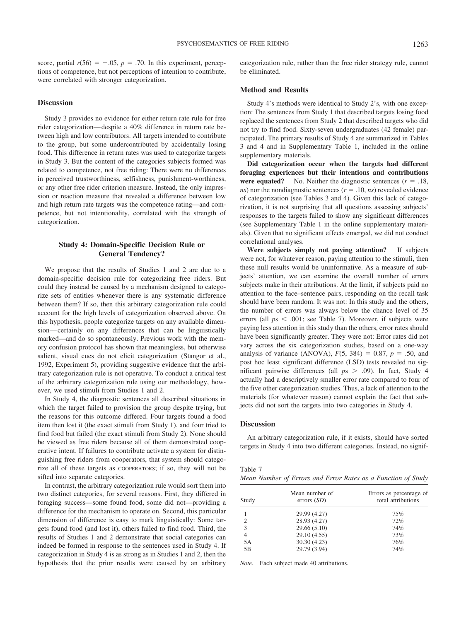score, partial  $r(56) = -.05$ ,  $p = .70$ . In this experiment, perceptions of competence, but not perceptions of intention to contribute, were correlated with stronger categorization.

## **Discussion**

Study 3 provides no evidence for either return rate rule for free rider categorization— despite a 40% difference in return rate between high and low contributors. All targets intended to contribute to the group, but some undercontributed by accidentally losing food. This difference in return rates was used to categorize targets in Study 3. But the content of the categories subjects formed was related to competence, not free riding: There were no differences in perceived trustworthiness, selfishness, punishment-worthiness, or any other free rider criterion measure. Instead, the only impression or reaction measure that revealed a difference between low and high return rate targets was the competence rating—and competence, but not intentionality, correlated with the strength of categorization.

## **Study 4: Domain-Specific Decision Rule or General Tendency?**

We propose that the results of Studies 1 and 2 are due to a domain-specific decision rule for categorizing free riders. But could they instead be caused by a mechanism designed to categorize sets of entities whenever there is any systematic difference between them? If so, then this arbitrary categorization rule could account for the high levels of categorization observed above. On this hypothesis, people categorize targets on any available dimension— certainly on any differences that can be linguistically marked—and do so spontaneously. Previous work with the memory confusion protocol has shown that meaningless, but otherwise salient, visual cues do not elicit categorization (Stangor et al., 1992, Experiment 5), providing suggestive evidence that the arbitrary categorization rule is not operative. To conduct a critical test of the arbitrary categorization rule using our methodology, however, we used stimuli from Studies 1 and 2.

In Study 4, the diagnostic sentences all described situations in which the target failed to provision the group despite trying, but the reasons for this outcome differed. Four targets found a food item then lost it (the exact stimuli from Study 1), and four tried to find food but failed (the exact stimuli from Study 2). None should be viewed as free riders because all of them demonstrated cooperative intent. If failures to contribute activate a system for distinguishing free riders from cooperators, that system should categorize all of these targets as COOPERATORS; if so, they will not be sifted into separate categories.

In contrast, the arbitrary categorization rule would sort them into two distinct categories, for several reasons. First, they differed in foraging success—some found food, some did not—providing a difference for the mechanism to operate on. Second, this particular dimension of difference is easy to mark linguistically: Some targets found food (and lost it), others failed to find food. Third, the results of Studies 1 and 2 demonstrate that social categories can indeed be formed in response to the sentences used in Study 4. If categorization in Study 4 is as strong as in Studies 1 and 2, then the hypothesis that the prior results were caused by an arbitrary

categorization rule, rather than the free rider strategy rule, cannot be eliminated.

## **Method and Results**

Study 4's methods were identical to Study 2's, with one exception: The sentences from Study 1 that described targets losing food replaced the sentences from Study 2 that described targets who did not try to find food. Sixty-seven undergraduates (42 female) participated. The primary results of Study 4 are summarized in Tables 3 and 4 and in Supplementary Table 1, included in the online supplementary materials.

**Did categorization occur when the targets had different foraging experiences but their intentions and contributions were equated?** No. Neither the diagnostic sentences  $(r = .18, )$ *ns*) nor the nondiagnostic sentences ( $r = .10$ , *ns*) revealed evidence of categorization (see Tables 3 and 4). Given this lack of categorization, it is not surprising that all questions assessing subjects' responses to the targets failed to show any significant differences (see Supplementary Table 1 in the online supplementary materials). Given that no significant effects emerged, we did not conduct correlational analyses.

**Were subjects simply not paying attention?** If subjects were not, for whatever reason, paying attention to the stimuli, then these null results would be uninformative. As a measure of subjects' attention, we can examine the overall number of errors subjects make in their attributions. At the limit, if subjects paid no attention to the face–sentence pairs, responding on the recall task should have been random. It was not: In this study and the others, the number of errors was always below the chance level of 35 errors (all  $ps < .001$ ; see Table 7). Moreover, if subjects were paying less attention in this study than the others, error rates should have been significantly greater. They were not: Error rates did not vary across the six categorization studies, based on a one-way analysis of variance (ANOVA),  $F(5, 384) = 0.87$ ,  $p = .50$ , and post hoc least significant difference (LSD) tests revealed no significant pairwise differences (all  $ps > .09$ ). In fact, Study 4 actually had a descriptively smaller error rate compared to four of the five other categorization studies. Thus, a lack of attention to the materials (for whatever reason) cannot explain the fact that subjects did not sort the targets into two categories in Study 4.

#### **Discussion**

An arbitrary categorization rule, if it exists, should have sorted targets in Study 4 into two different categories. Instead, no signif-

Table 7

| Mean Number of Errors and Error Rates as a Function of Study |  |  |  |  |  |  |  |  |  |  |
|--------------------------------------------------------------|--|--|--|--|--|--|--|--|--|--|
|--------------------------------------------------------------|--|--|--|--|--|--|--|--|--|--|

| Study          | Mean number of<br>errors $(SD)$ | Errors as percentage of<br>total attributions |  |  |
|----------------|---------------------------------|-----------------------------------------------|--|--|
|                | 29.99 (4.27)                    | 75%                                           |  |  |
| $\overline{2}$ | 28.93 (4.27)                    | 72%                                           |  |  |
| 3              | 29.66(5.10)                     | 74%                                           |  |  |
| $\overline{4}$ | 29.10 (4.55)                    | 73%                                           |  |  |
| 5A             | 30.30 (4.23)                    | 76%                                           |  |  |
| 5B             | 29.79 (3.94)                    | 74%                                           |  |  |
|                |                                 |                                               |  |  |

*Note.* Each subject made 40 attributions.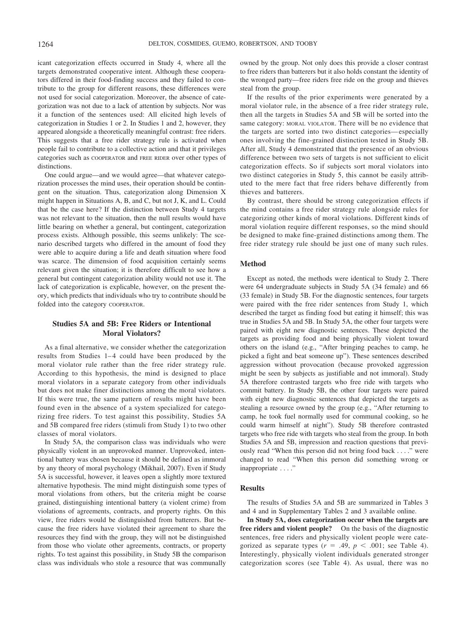icant categorization effects occurred in Study 4, where all the targets demonstrated cooperative intent. Although these cooperators differed in their food-finding success and they failed to contribute to the group for different reasons, these differences were not used for social categorization. Moreover, the absence of categorization was not due to a lack of attention by subjects. Nor was it a function of the sentences used: All elicited high levels of categorization in Studies 1 or 2. In Studies 1 and 2, however, they appeared alongside a theoretically meaningful contrast: free riders. This suggests that a free rider strategy rule is activated when people fail to contribute to a collective action and that it privileges categories such as COOPERATOR and FREE RIDER over other types of distinctions.

One could argue—and we would agree—that whatever categorization processes the mind uses, their operation should be contingent on the situation. Thus, categorization along Dimension X might happen in Situations A, B, and C, but not J, K, and L. Could that be the case here? If the distinction between Study 4 targets was not relevant to the situation, then the null results would have little bearing on whether a general, but contingent, categorization process exists. Although possible, this seems unlikely: The scenario described targets who differed in the amount of food they were able to acquire during a life and death situation where food was scarce. The dimension of food acquisition certainly seems relevant given the situation; it is therefore difficult to see how a general but contingent categorization ability would not use it. The lack of categorization is explicable, however, on the present theory, which predicts that individuals who try to contribute should be folded into the category COOPERATOR.

## **Studies 5A and 5B: Free Riders or Intentional Moral Violators?**

As a final alternative, we consider whether the categorization results from Studies 1–4 could have been produced by the moral violator rule rather than the free rider strategy rule. According to this hypothesis, the mind is designed to place moral violators in a separate category from other individuals but does not make finer distinctions among the moral violators. If this were true, the same pattern of results might have been found even in the absence of a system specialized for categorizing free riders. To test against this possibility, Studies 5A and 5B compared free riders (stimuli from Study 1) to two other classes of moral violators.

In Study 5A, the comparison class was individuals who were physically violent in an unprovoked manner. Unprovoked, intentional battery was chosen because it should be defined as immoral by any theory of moral psychology (Mikhail, 2007). Even if Study 5A is successful, however, it leaves open a slightly more textured alternative hypothesis. The mind might distinguish some types of moral violations from others, but the criteria might be coarse grained, distinguishing intentional battery (a violent crime) from violations of agreements, contracts, and property rights. On this view, free riders would be distinguished from batterers. But because the free riders have violated their agreement to share the resources they find with the group, they will not be distinguished from those who violate other agreements, contracts, or property rights. To test against this possibility, in Study 5B the comparison class was individuals who stole a resource that was communally

owned by the group. Not only does this provide a closer contrast to free riders than batterers but it also holds constant the identity of the wronged party—free riders free ride on the group and thieves steal from the group.

If the results of the prior experiments were generated by a moral violator rule, in the absence of a free rider strategy rule, then all the targets in Studies 5A and 5B will be sorted into the same category: MORAL VIOLATOR. There will be no evidence that the targets are sorted into two distinct categories— especially ones involving the fine-grained distinction tested in Study 5B. After all, Study 4 demonstrated that the presence of an obvious difference between two sets of targets is not sufficient to elicit categorization effects. So if subjects sort moral violators into two distinct categories in Study 5, this cannot be easily attributed to the mere fact that free riders behave differently from thieves and batterers.

By contrast, there should be strong categorization effects if the mind contains a free rider strategy rule alongside rules for categorizing other kinds of moral violations. Different kinds of moral violation require different responses, so the mind should be designed to make fine-grained distinctions among them. The free rider strategy rule should be just one of many such rules.

## **Method**

Except as noted, the methods were identical to Study 2. There were 64 undergraduate subjects in Study 5A (34 female) and 66 (33 female) in Study 5B. For the diagnostic sentences, four targets were paired with the free rider sentences from Study 1, which described the target as finding food but eating it himself; this was true in Studies 5A and 5B. In Study 5A, the other four targets were paired with eight new diagnostic sentences. These depicted the targets as providing food and being physically violent toward others on the island (e.g., "After bringing peaches to camp, he picked a fight and beat someone up"). These sentences described aggression without provocation (because provoked aggression might be seen by subjects as justifiable and not immoral). Study 5A therefore contrasted targets who free ride with targets who commit battery. In Study 5B, the other four targets were paired with eight new diagnostic sentences that depicted the targets as stealing a resource owned by the group (e.g., "After returning to camp, he took fuel normally used for communal cooking, so he could warm himself at night"). Study 5B therefore contrasted targets who free ride with targets who steal from the group. In both Studies 5A and 5B, impression and reaction questions that previously read "When this person did not bring food back . . . ." were changed to read "When this person did something wrong or inappropriate . . . ."

## **Results**

The results of Studies 5A and 5B are summarized in Tables 3 and 4 and in Supplementary Tables 2 and 3 available online.

**In Study 5A, does categorization occur when the targets are free riders and violent people?** On the basis of the diagnostic sentences, free riders and physically violent people were categorized as separate types  $(r = .49, p < .001;$  see Table 4). Interestingly, physically violent individuals generated stronger categorization scores (see Table 4). As usual, there was no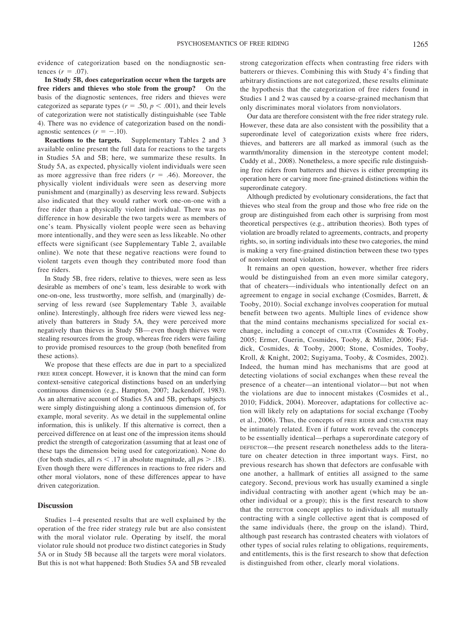evidence of categorization based on the nondiagnostic sentences  $(r = .07)$ .

**In Study 5B, does categorization occur when the targets are** free riders and thieves who stole from the group? On the basis of the diagnostic sentences, free riders and thieves were categorized as separate types ( $r = .50$ ,  $p < .001$ ), and their levels of categorization were not statistically distinguishable (see Table 4). There was no evidence of categorization based on the nondiagnostic sentences  $(r = -.10)$ .

**Reactions to the targets.** Supplementary Tables 2 and 3 available online present the full data for reactions to the targets in Studies 5A and 5B; here, we summarize these results. In Study 5A, as expected, physically violent individuals were seen as more aggressive than free riders  $(r = .46)$ . Moreover, the physically violent individuals were seen as deserving more punishment and (marginally) as deserving less reward. Subjects also indicated that they would rather work one-on-one with a free rider than a physically violent individual. There was no difference in how desirable the two targets were as members of one's team. Physically violent people were seen as behaving more intentionally, and they were seen as less likeable. No other effects were significant (see Supplementary Table 2, available online). We note that these negative reactions were found to violent targets even though they contributed more food than free riders.

In Study 5B, free riders, relative to thieves, were seen as less desirable as members of one's team, less desirable to work with one-on-one, less trustworthy, more selfish, and (marginally) deserving of less reward (see Supplementary Table 3, available online). Interestingly, although free riders were viewed less negatively than batterers in Study 5A, they were perceived more negatively than thieves in Study 5B— even though thieves were stealing resources from the group, whereas free riders were failing to provide promised resources to the group (both benefited from these actions).

We propose that these effects are due in part to a specialized FREE RIDER concept. However, it is known that the mind can form context-sensitive categorical distinctions based on an underlying continuous dimension (e.g., Hampton, 2007; Jackendoff, 1983). As an alternative account of Studies 5A and 5B, perhaps subjects were simply distinguishing along a continuous dimension of, for example, moral severity. As we detail in the supplemental online information, this is unlikely. If this alternative is correct, then a perceived difference on at least one of the impression items should predict the strength of categorization (assuming that at least one of these taps the dimension being used for categorization). None do (for both studies, all  $rs < 0.17$  in absolute magnitude, all  $ps > 0.18$ ). Even though there were differences in reactions to free riders and other moral violators, none of these differences appear to have driven categorization.

## **Discussion**

Studies 1–4 presented results that are well explained by the operation of the free rider strategy rule but are also consistent with the moral violator rule. Operating by itself, the moral violator rule should not produce two distinct categories in Study 5A or in Study 5B because all the targets were moral violators. But this is not what happened: Both Studies 5A and 5B revealed strong categorization effects when contrasting free riders with batterers or thieves. Combining this with Study 4's finding that arbitrary distinctions are not categorized, these results eliminate the hypothesis that the categorization of free riders found in Studies 1 and 2 was caused by a coarse-grained mechanism that only discriminates moral violators from nonviolators.

Our data are therefore consistent with the free rider strategy rule. However, these data are also consistent with the possibility that a superordinate level of categorization exists where free riders, thieves, and batterers are all marked as immoral (such as the warmth/morality dimension in the stereotype content model; Cuddy et al., 2008). Nonetheless, a more specific rule distinguishing free riders from batterers and thieves is either preempting its operation here or carving more fine-grained distinctions within the superordinate category.

Although predicted by evolutionary considerations, the fact that thieves who steal from the group and those who free ride on the group are distinguished from each other is surprising from most theoretical perspectives (e.g., attribution theories). Both types of violation are broadly related to agreements, contracts, and property rights, so, in sorting individuals into these two categories, the mind is making a very fine-grained distinction between these two types of nonviolent moral violators.

It remains an open question, however, whether free riders would be distinguished from an even more similar category, that of cheaters—individuals who intentionally defect on an agreement to engage in social exchange (Cosmides, Barrett, & Tooby, 2010). Social exchange involves cooperation for mutual benefit between two agents. Multiple lines of evidence show that the mind contains mechanisms specialized for social exchange, including a concept of CHEATER (Cosmides & Tooby, 2005; Ermer, Guerin, Cosmides, Tooby, & Miller, 2006; Fiddick, Cosmides, & Tooby, 2000; Stone, Cosmides, Tooby, Kroll, & Knight, 2002; Sugiyama, Tooby, & Cosmides, 2002). Indeed, the human mind has mechanisms that are good at detecting violations of social exchanges when these reveal the presence of a cheater—an intentional violator— but not when the violations are due to innocent mistakes (Cosmides et al., 2010; Fiddick, 2004). Moreover, adaptations for collective action will likely rely on adaptations for social exchange (Tooby et al., 2006). Thus, the concepts of FREE RIDER and CHEATER may be intimately related. Even if future work reveals the concepts to be essentially identical—perhaps a superordinate category of DEFECTOR—the present research nonetheless adds to the literature on cheater detection in three important ways. First, no previous research has shown that defectors are confusable with one another, a hallmark of entities all assigned to the same category. Second, previous work has usually examined a single individual contracting with another agent (which may be another individual or a group); this is the first research to show that the DEFECTOR concept applies to individuals all mutually contracting with a single collective agent that is composed of the same individuals (here, the group on the island). Third, although past research has contrasted cheaters with violators of other types of social rules relating to obligations, requirements, and entitlements, this is the first research to show that defection is distinguished from other, clearly moral violations.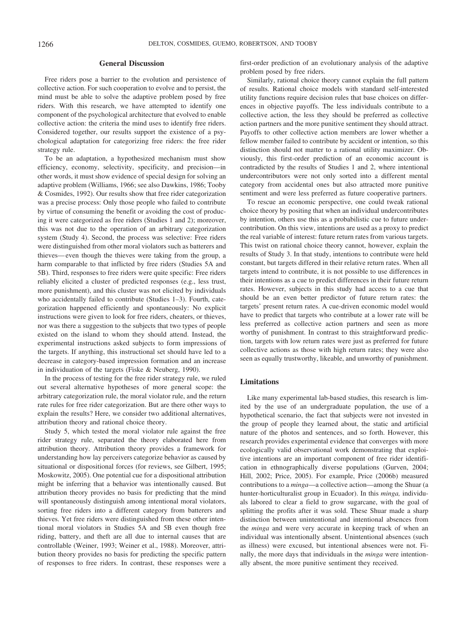## **General Discussion**

Free riders pose a barrier to the evolution and persistence of collective action. For such cooperation to evolve and to persist, the mind must be able to solve the adaptive problem posed by free riders. With this research, we have attempted to identify one component of the psychological architecture that evolved to enable collective action: the criteria the mind uses to identify free riders. Considered together, our results support the existence of a psychological adaptation for categorizing free riders: the free rider strategy rule.

To be an adaptation, a hypothesized mechanism must show efficiency, economy, selectivity, specificity, and precision—in other words, it must show evidence of special design for solving an adaptive problem (Williams, 1966; see also Dawkins, 1986; Tooby & Cosmides, 1992). Our results show that free rider categorization was a precise process: Only those people who failed to contribute by virtue of consuming the benefit or avoiding the cost of producing it were categorized as free riders (Studies 1 and 2); moreover, this was not due to the operation of an arbitrary categorization system (Study 4). Second, the process was selective: Free riders were distinguished from other moral violators such as batterers and thieves— even though the thieves were taking from the group, a harm comparable to that inflicted by free riders (Studies 5A and 5B). Third, responses to free riders were quite specific: Free riders reliably elicited a cluster of predicted responses (e.g., less trust, more punishment), and this cluster was not elicited by individuals who accidentally failed to contribute (Studies 1–3). Fourth, categorization happened efficiently and spontaneously: No explicit instructions were given to look for free riders, cheaters, or thieves, nor was there a suggestion to the subjects that two types of people existed on the island to whom they should attend. Instead, the experimental instructions asked subjects to form impressions of the targets. If anything, this instructional set should have led to a decrease in category-based impression formation and an increase in individuation of the targets (Fiske & Neuberg, 1990).

In the process of testing for the free rider strategy rule, we ruled out several alternative hypotheses of more general scope: the arbitrary categorization rule, the moral violator rule, and the return rate rules for free rider categorization. But are there other ways to explain the results? Here, we consider two additional alternatives, attribution theory and rational choice theory.

Study 5, which tested the moral violator rule against the free rider strategy rule, separated the theory elaborated here from attribution theory. Attribution theory provides a framework for understanding how lay perceivers categorize behavior as caused by situational or dispositional forces (for reviews, see Gilbert, 1995; Moskowitz, 2005). One potential cue for a dispositional attribution might be inferring that a behavior was intentionally caused. But attribution theory provides no basis for predicting that the mind will spontaneously distinguish among intentional moral violators, sorting free riders into a different category from batterers and thieves. Yet free riders were distinguished from these other intentional moral violators in Studies 5A and 5B even though free riding, battery, and theft are all due to internal causes that are controllable (Weiner, 1993; Weiner et al., 1988). Moreover, attribution theory provides no basis for predicting the specific pattern of responses to free riders. In contrast, these responses were a first-order prediction of an evolutionary analysis of the adaptive problem posed by free riders.

Similarly, rational choice theory cannot explain the full pattern of results. Rational choice models with standard self-interested utility functions require decision rules that base choices on differences in objective payoffs. The less individuals contribute to a collective action, the less they should be preferred as collective action partners and the more punitive sentiment they should attract. Payoffs to other collective action members are lower whether a fellow member failed to contribute by accident or intention, so this distinction should not matter to a rational utility maximizer. Obviously, this first-order prediction of an economic account is contradicted by the results of Studies 1 and 2, where intentional undercontributors were not only sorted into a different mental category from accidental ones but also attracted more punitive sentiment and were less preferred as future cooperative partners.

To rescue an economic perspective, one could tweak rational choice theory by positing that when an individual undercontributes by intention, others use this as a probabilistic cue to future undercontribution. On this view, intentions are used as a proxy to predict the real variable of interest: future return rates from various targets. This twist on rational choice theory cannot, however, explain the results of Study 3. In that study, intentions to contribute were held constant, but targets differed in their relative return rates. When all targets intend to contribute, it is not possible to use differences in their intentions as a cue to predict differences in their future return rates. However, subjects in this study had access to a cue that should be an even better predictor of future return rates: the targets' present return rates. A cue-driven economic model would have to predict that targets who contribute at a lower rate will be less preferred as collective action partners and seen as more worthy of punishment. In contrast to this straightforward prediction, targets with low return rates were just as preferred for future collective actions as those with high return rates; they were also seen as equally trustworthy, likeable, and unworthy of punishment.

## **Limitations**

Like many experimental lab-based studies, this research is limited by the use of an undergraduate population, the use of a hypothetical scenario, the fact that subjects were not invested in the group of people they learned about, the static and artificial nature of the photos and sentences, and so forth. However, this research provides experimental evidence that converges with more ecologically valid observational work demonstrating that exploitive intentions are an important component of free rider identification in ethnographically diverse populations (Gurven, 2004; Hill, 2002; Price, 2005). For example, Price (2006b) measured contributions to a *minga*—a collective action—among the Shuar (a hunter-horticulturalist group in Ecuador). In this *minga,* individuals labored to clear a field to grow sugarcane, with the goal of splitting the profits after it was sold. These Shuar made a sharp distinction between unintentional and intentional absences from the *minga* and were very accurate in keeping track of when an individual was intentionally absent. Unintentional absences (such as illness) were excused, but intentional absences were not. Finally, the more days that individuals in the *minga* were intentionally absent, the more punitive sentiment they received.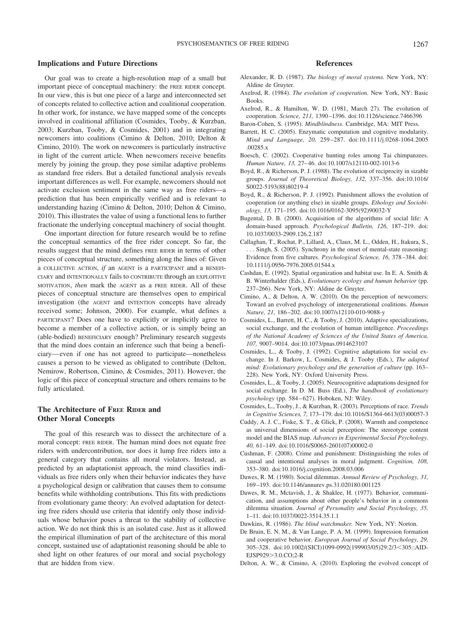Our goal was to create a high-resolution map of a small but important piece of conceptual machinery: the FREE RIDER concept. In our view, this is but one piece of a large and interconnected set of concepts related to collective action and coalitional cooperation. In other work, for instance, we have mapped some of the concepts involved in coalitional affiliation (Cosmides, Tooby, & Kurzban, 2003; Kurzban, Tooby, & Cosmides, 2001) and in integrating newcomers into coalitions (Cimino & Delton, 2010; Delton & Cimino, 2010). The work on newcomers is particularly instructive in light of the current article. When newcomers receive benefits merely by joining the group, they pose similar adaptive problems as standard free riders. But a detailed functional analysis reveals important differences as well. For example, newcomers should not activate exclusion sentiment in the same way as free riders—a prediction that has been empirically verified and is relevant to understanding hazing (Cimino & Delton, 2010; Delton & Cimino, 2010). This illustrates the value of using a functional lens to further fractionate the underlying conceptual machinery of social thought.

**Implications and Future Directions**

One important direction for future research would be to refine the conceptual semantics of the free rider concept. So far, the results suggest that the mind defines FREE RIDER in terms of other pieces of conceptual structure, something along the lines of: Given a COLLECTIVE ACTION, *if* an AGENT is a PARTICIPANT and a BENEFI-CIARY and INTENTIONALLY fails to CONTRIBUTE through an EXPLOITIVE MOTIVATION, *then* mark the AGENT as a FREE RIDER. All of these pieces of conceptual structure are themselves open to empirical investigation (the AGENT and INTENTION concepts have already received some; Johnson, 2000). For example, what defines a PARTICIPANT? Does one have to explicitly or implicitly agree to become a member of a collective action, or is simply being an (able-bodied) BENEFICIARY enough? Preliminary research suggests that the mind does contain an inference such that being a beneficiary— even if one has not agreed to participate—nonetheless causes a person to be viewed as obligated to contribute (Delton, Nemirow, Robertson, Cimino, & Cosmides, 2011). However, the logic of this piece of conceptual structure and others remains to be fully articulated.

## **The Architecture of FREE RIDER and Other Moral Concepts**

The goal of this research was to dissect the architecture of a moral concept: FREE RIDER. The human mind does not equate free riders with undercontribution, nor does it lump free riders into a general category that contains all moral violators. Instead, as predicted by an adaptationist approach, the mind classifies individuals as free riders only when their behavior indicates they have a psychological design or calibration that causes them to consume benefits while withholding contributions. This fits with predictions from evolutionary game theory: An evolved adaptation for detecting free riders should use criteria that identify only those individuals whose behavior poses a threat to the stability of collective action. We do not think this is an isolated case. Just as it allowed the empirical illumination of part of the architecture of this moral concept, sustained use of adaptationist reasoning should be able to shed light on other features of our moral and social psychology that are hidden from view.

## **References**

- Alexander, R. D. (1987). *The biology of moral systems.* New York, NY: Aldine de Gruyter.
- Axelrod, R. (1984). *The evolution of cooperation.* New York, NY: Basic Books.
- Axelrod, R., & Hamilton, W. D. (1981, March 27). The evolution of cooperation. *Science, 211,* 1390 –1396. doi:10.1126/science.7466396
- Baron-Cohen, S. (1995). *Mindblindness.* Cambridge, MA: MIT Press.
- Barrett, H. C. (2005). Enzymatic computation and cognitive modularity. *Mind and Language, 20,* 259 –287. doi:10.1111/j.0268-1064.2005 .00285.x
- Boesch, C. (2002). Cooperative hunting roles among Tai chimpanzees. *Human Nature, 13,* 27– 46. doi:10.1007/s12110-002-1013-6
- Boyd, R., & Richerson, P. J. (1988). The evolution of reciprocity in sizable groups. *Journal of Theoretical Biology, 132,* 337–356. doi:10.1016/ S0022-5193(88)80219-4
- Boyd, R., & Richerson, P. J. (1992). Punishment allows the evolution of cooperation (or anything else) in sizable groups. *Ethology and Sociobiology, 13,* 171–195. doi:10.1016/0162-3095(92)90032-Y
- Bugental, D. B. (2000). Acquisition of the algorithms of social life: A domain-based approach. *Psychological Bulletin, 126,* 187–219. doi: 10.1037/0033-2909.126.2.187
- Callaghan, T., Rochat, P., Lillard, A., Claux, M. L., Odden, H., Itakura, S., . . . Singh, S. (2005). Synchrony in the onset of mental-state reasoning: Evidence from five cultures. *Psychological Science, 16,* 378 –384. doi: 10.1111/j.0956-7976.2005.01544.x
- Cashdan, E. (1992). Spatial organization and habitat use. In E. A. Smith & B. Winterhalder (Eds.), *Evolutionary ecology and human behavior* (pp. 237–266). New York, NY: Aldine de Gruyter.
- Cimino, A., & Delton, A. W. (2010). On the perception of newcomers: Toward an evolved psychology of intergenerational coalitions. *Human Nature, 21,* 186 –202. doi:10.1007/s12110-010-9088-y
- Cosmides, L., Barrett, H. C., & Tooby, J. (2010). Adaptive specializations, social exchange, and the evolution of human intelligence. *Proceedings of the National Academy of Sciences of the United States of America, 107,* 9007–9014. doi:10.1073/pnas.0914623107
- Cosmides, L., & Tooby, J. (1992). Cognitive adaptations for social exchange. In J. Barkow, L. Cosmides, & J. Tooby (Eds.), *The adapted mind: Evolutionary psychology and the generation of culture* (pp. 163– 228). New York, NY: Oxford University Press.
- Cosmides, L., & Tooby, J. (2005). Neurocognitive adaptations designed for social exchange. In D. M. Buss (Ed.), *The handbook of evolutionary psychology* (pp. 584 – 627). Hoboken, NJ: Wiley.
- Cosmides, L., Tooby, J., & Kurzban, R. (2003). Perceptions of race. *Trends in Cognitive Sciences, 7,* 173–179. doi:10.1016/S1364-6613(03)00057-3
- Cuddy, A. J. C., Fiske, S. T., & Glick, P. (2008). Warmth and competence as universal dimensions of social perception: The stereotype content model and the BIAS map. *Advances in Experimental Social Psychology, 40,* 61–149. doi:10.1016/S0065-2601(07)00002-0
- Cushman, F. (2008). Crime and punishment: Distinguishing the roles of causal and intentional analyses in moral judgment. *Cognition, 108,* 353–380. doi:10.1016/j.cognition.2008.03.006
- Dawes, R. M. (1980). Social dilemmas. *Annual Review of Psychology, 31,* 169 –193. doi:10.1146/annurev.ps.31.020180.001125
- Dawes, R. M., Mctavish, J., & Shaklee, H. (1977). Behavior, communication, and assumptions about other people's behavior in a commons dilemma situation. *Journal of Personality and Social Psychology, 35,* 1–11. doi:10.1037/0022-3514.35.1.1

Dawkins, R. (1986). *The blind watchmaker.* New York, NY: Norton.

- De Bruin, E. N. M., & Van Lange, P. A. M. (1999). Impression formation and cooperative behavior. *European Journal of Social Psychology, 29,* 305-328. doi:10.1002/(SICI)1099-0992(199903/05)29:2/3<305::AID-EJSP9293.0.CO;2-R
- Delton, A. W., & Cimino, A. (2010). Exploring the evolved concept of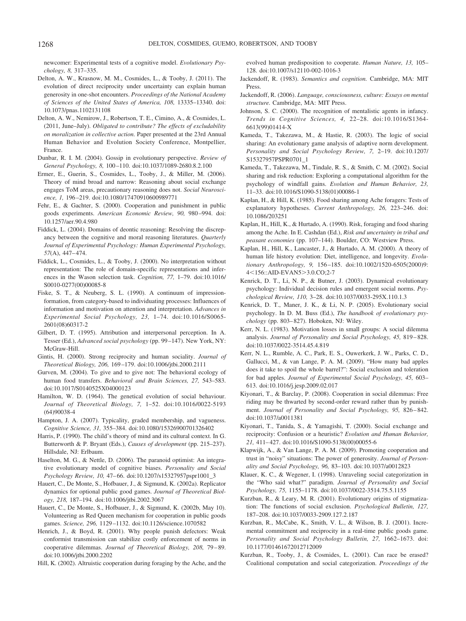newcomer: Experimental tests of a cognitive model. *Evolutionary Psychology, 8,* 317–335.

- Delton, A. W., Krasnow, M. M., Cosmides, L., & Tooby, J. (2011). The evolution of direct reciprocity under uncertainty can explain human generosity in one-shot encounters. *Proceedings of the National Academy of Sciences of the United States of America, 108,* 13335–13340. doi: 10.1073/pnas.1102131108
- Delton, A. W., Nemirow, J., Robertson, T. E., Cimino, A., & Cosmides, L. (2011, June–July). *Obligated to contribute? The effects of excludability on moralization in collective action.* Paper presented at the 23rd Annual Human Behavior and Evolution Society Conference, Montpellier, France.
- Dunbar, R. I. M. (2004). Gossip in evolutionary perspective. *Review of General Psychology, 8,* 100 –110. doi:10.1037/1089-2680.8.2.100
- Ermer, E., Guerin, S., Cosmides, L., Tooby, J., & Miller, M. (2006). Theory of mind broad and narrow: Reasoning about social exchange engages ToM areas, precautionary reasoning does not. *Social Neuroscience, 1,* 196 –219. doi:10.1080/17470910600989771
- Fehr, E., & Gachter, S. (2000). Cooperation and punishment in public goods experiments. *American Economic Review, 90,* 980 –994. doi: 10.1257/aer.90.4.980
- Fiddick, L. (2004). Domains of deontic reasoning: Resolving the discrepancy between the cognitive and moral reasoning literatures. *Quarterly Journal of Experimental Psychology: Human Experimental Psychology, 57*(A), 447– 474.
- Fiddick, L., Cosmides, L., & Tooby, J. (2000). No interpretation without representation: The role of domain-specific representations and inferences in the Wason selection task. *Cognition, 77,* 1–79. doi:10.1016/ S0010-0277(00)00085-8
- Fiske, S. T., & Neuberg, S. L. (1990). A continuum of impressionformation, from category-based to individuating processes: Influences of information and motivation on attention and interpretation. *Advances in Experimental Social Psychology, 23,* 1–74. doi:10.1016/S0065- 2601(08)60317-2
- Gilbert, D. T. (1995). Attribution and interpersonal perception. In A. Tesser (Ed.), *Advanced social psychology* (pp. 99 –147). New York, NY: McGraw-Hill.
- Gintis, H. (2000). Strong reciprocity and human sociality. *Journal of Theoretical Biology, 206,* 169 –179. doi:10.1006/jtbi.2000.2111
- Gurven, M. (2004). To give and to give not: The behavioral ecology of human food transfers. *Behavioral and Brain Sciences, 27,* 543–583. doi:10.1017/S0140525X04000123
- Hamilton, W. D. (1964). The genetical evolution of social behaviour. *Journal of Theoretical Biology, 7,* 1–52. doi:10.1016/0022-5193 (64)90038-4
- Hampton, J. A. (2007). Typicality, graded membership, and vagueness. *Cognitive Science, 31,* 355–384. doi:10.1080/15326900701326402
- Harris, P. (1990). The child's theory of mind and its cultural context. In G. Butterworth & P. Bryant (Eds.), *Causes of development* (pp. 215–237). Hillsdale, NJ: Erlbaum.
- Haselton, M. G., & Nettle, D. (2006). The paranoid optimist: An integrative evolutionary model of cognitive biases. *Personality and Social Psychology Review, 10,* 47– 66. doi:10.1207/s15327957pspr1001\_3
- Hauert, C., De Monte, S., Hofbauer, J., & Sigmund, K. (2002a). Replicator dynamics for optional public good games. *Journal of Theoretical Biology, 218,* 187–194. doi:10.1006/jtbi.2002.3067
- Hauert, C., De Monte, S., Hofbauer, J., & Sigmund, K. (2002b, May 10). Volunteering as Red Queen mechanism for cooperation in public goods games. *Science, 296,* 1129 –1132. doi:10.1126/science.1070582
- Henrich, J., & Boyd, R. (2001). Why people punish defectors: Weak conformist transmission can stabilize costly enforcement of norms in cooperative dilemmas. *Journal of Theoretical Biology, 208,* 79 – 89. doi:10.1006/jtbi.2000.2202

Hill, K. (2002). Altruistic cooperation during foraging by the Ache, and the

evolved human predisposition to cooperate. *Human Nature, 13,* 105– 128. doi:10.1007/s12110-002-1016-3

- Jackendoff, R. (1983). *Semantics and cognition.* Cambridge, MA: MIT Press.
- Jackendoff, R. (2006). *Language, consciousness, culture: Essays on mental structure.* Cambridge, MA: MIT Press.
- Johnson, S. C. (2000). The recognition of mentalistic agents in infancy. *Trends in Cognitive Sciences, 4,* 22–28. doi:10.1016/S1364- 6613(99)01414-X
- Kameda, T., Takezawa, M., & Hastie, R. (2003). The logic of social sharing: An evolutionary game analysis of adaptive norm development. *Personality and Social Psychology Review, 7,* 2–19. doi:10.1207/ S15327957PSPR0701\_1
- Kameda, T., Takezawa, M., Tindale, R. S., & Smith, C. M. (2002). Social sharing and risk reduction: Exploring a computational algorithm for the psychology of windfall gains. *Evolution and Human Behavior, 23,* 11–33. doi:10.1016/S1090-5138(01)00086-1
- Kaplan, H., & Hill, K. (1985). Food sharing among Ache foragers: Tests of explanatory hypotheses. *Current Anthropology, 26,* 223–246. doi: 10.1086/203251
- Kaplan, H., Hill, K., & Hurtado, A. (1990). Risk, foraging and food sharing among the Ache. In E. Cashdan (Ed.), *Risk and uncertainty in tribal and peasant economies* (pp. 107–144). Boulder, CO: Westview Press.
- Kaplan, H., Hill, K., Lancaster, J., & Hurtado, A. M. (2000). A theory of human life history evolution: Diet, intelligence, and longevity. *Evolutionary Anthropology, 9,* 156 –185. doi:10.1002/1520-6505(2000)9: 4<156::AID-EVAN5>3.0.CO;2-7
- Kenrick, D. T., Li, N. P., & Butner, J. (2003). Dynamical evolutionary psychology: Individual decision rules and emergent social norms. *Psychological Review, 110,* 3–28. doi:10.1037/0033-295X.110.1.3
- Kenrick, D. T., Maner, J. K., & Li, N. P. (2005). Evolutionary social psychology. In D. M. Buss (Ed.), *The handbook of evolutionary psychology* (pp. 803– 827). Hoboken, NJ: Wiley.
- Kerr, N. L. (1983). Motivation losses in small groups: A social dilemma analysis. *Journal of Personality and Social Psychology, 45,* 819 – 828. doi:10.1037/0022-3514.45.4.819
- Kerr, N. L., Rumble, A. C., Park, E. S., Ouwerkerk, J. W., Parks, C. D., Gallucci, M., & van Lange, P. A. M. (2009). "How many bad apples does it take to spoil the whole barrel?": Social exclusion and toleration for bad apples. *Journal of Experimental Social Psychology, 45,* 603– 613. doi:10.1016/j.jesp.2009.02.017
- Kiyonari, T., & Barclay, P. (2008). Cooperation in social dilemmas: Free riding may be thwarted by second-order reward rather than by punishment. *Journal of Personality and Social Psychology, 95,* 826 – 842. doi:10.1037/a0011381
- Kiyonari, T., Tanida, S., & Yamagishi, T. (2000). Social exchange and reciprocity: Confusion or a heuristic? *Evolution and Human Behavior, 21,* 411– 427. doi:10.1016/S1090-5138(00)00055-6
- Klapwijk, A., & Van Lange, P. A. M. (2009). Promoting cooperation and trust in "noisy" situations: The power of generosity. *Journal of Personality and Social Psychology, 96,* 83–103. doi:10.1037/a0012823
- Klauer, K. C., & Wegener, I. (1998). Unraveling social categorization in the "Who said what?" paradigm. *Journal of Personality and Social Psychology, 75,* 1155–1178. doi:10.1037/0022-3514.75.5.1155
- Kurzban, R., & Leary, M. R. (2001). Evolutionary origins of stigmatization: The functions of social exclusion. *Psychological Bulletin, 127,* 187–208. doi:10.1037/0033-2909.127.2.187
- Kurzban, R., McCabe, K., Smith, V. L., & Wilson, B. J. (2001). Incremental commitment and reciprocity in a real-time public goods game. *Personality and Social Psychology Bulletin, 27,* 1662–1673. doi: 10.1177/01461672012712009
- Kurzban, R., Tooby, J., & Cosmides, L. (2001). Can race be erased? Coalitional computation and social categorization. *Proceedings of the*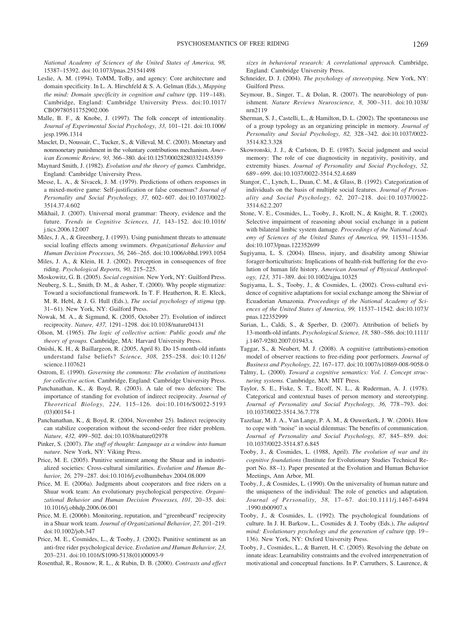*National Academy of Sciences of the United States of America, 98,* 15387–15392. doi:10.1073/pnas.251541498

- Leslie, A. M. (1994). ToMM, ToBy, and agency: Core architecture and domain specificity. In L. A. Hirschfeld & S. A. Gelman (Eds.), *Mapping the mind: Domain specificity in cognition and culture* (pp. 119 –148). Cambridge, England: Cambridge University Press. doi:10.1017/ CBO9780511752902.006
- Malle, B. F., & Knobe, J. (1997). The folk concept of intentionality. *Journal of Experimental Social Psychology, 33,* 101–121. doi:10.1006/ jesp.1996.1314
- Masclet, D., Noussair, C., Tucker, S., & Villeval, M. C. (2003). Monetary and nonmonetary punishment in the voluntary contributions mechanism. *American Economic Review, 93,* 366 –380. doi:10.1257/000282803321455359
- Maynard Smith, J. (1982). *Evolution and the theory of games.* Cambridge, England: Cambridge University Press.
- Messe, L. A., & Sivacek, J. M. (1979). Predictions of others responses in a mixed-motive game: Self-justification or false consensus? *Journal of Personality and Social Psychology, 37,* 602– 607. doi:10.1037/0022- 3514.37.4.602
- Mikhail, J. (2007). Universal moral grammar: Theory, evidence and the future. *Trends in Cognitive Sciences, 11,* 143–152. doi:10.1016/ j.tics.2006.12.007
- Miles, J. A., & Greenberg, J. (1993). Using punishment threats to attenuate social loafing effects among swimmers. *Organizational Behavior and Human Decision Processes, 56,* 246 –265. doi:10.1006/obhd.1993.1054
- Miles, J. A., & Klein, H. J. (2002). Perception in consequences of free riding. *Psychological Reports, 90,* 215–225.

Moskowitz, G. B. (2005). *Social cognition.* New York, NY: Guilford Press.

- Neuberg, S. L., Smith, D. M., & Asher, T. (2000). Why people stigmatize: Toward a sociofunctional framework. In T. F. Heatherton, R. E. Kleck, M. R. Hebl, & J. G. Hull (Eds.), *The social psychology of stigma* (pp. 31–61). New York, NY: Guilford Press.
- Nowak, M. A., & Sigmund, K. (2005, October 27). Evolution of indirect reciprocity. *Nature, 437,* 1291–1298. doi:10.1038/nature04131
- Olson, M. (1965). *The logic of collective action: Public goods and the theory of groups.* Cambridge, MA: Harvard University Press.
- Onishi, K. H., & Baillargeon, R. (2005, April 8). Do 15-month-old infants understand false beliefs? *Science, 308,* 255–258. doi:10.1126/ science.1107621
- Ostrom, E. (1990). *Governing the commons: The evolution of institutions for collective action.* Cambridge, England: Cambridge University Press.
- Panchanathan, K., & Boyd, R. (2003). A tale of two defectors: The importance of standing for evolution of indirect reciprocity. *Journal of Theoretical Biology, 224,* 115–126. doi:10.1016/S0022-5193 (03)00154-1
- Panchanathan, K., & Boyd, R. (2004, November 25). Indirect reciprocity can stabilize cooperation without the second-order free rider problem. *Nature, 432,* 499 –502. doi:10.1038/nature02978
- Pinker, S. (2007). *The stuff of thought: Language as a window into human nature.* New York, NY: Viking Press.
- Price, M. E. (2005). Punitive sentiment among the Shuar and in industrialized societies: Cross-cultural similarities. *Evolution and Human Behavior, 26,* 279 –287. doi:10.1016/j.evolhumbehav.2004.08.009
- Price, M. E. (2006a). Judgments about cooperators and free riders on a Shuar work team: An evolutionary psychological perspective. *Organi*zational Behavior and Human Decision Processes, 101, 20-35. doi: 10.1016/j.obhdp.2006.06.001
- Price, M. E. (2006b). Monitoring, reputation, and "greenbeard" reciprocity in a Shuar work team. *Journal of Organizational Behavior, 27,* 201–219. doi:10.1002/job.347
- Price, M. E., Cosmides, L., & Tooby, J. (2002). Punitive sentiment as an anti-free rider psychological device. *Evolution and Human Behavior, 23,* 203–231. doi:10.1016/S1090-5138(01)00093-9

Rosenthal, R., Rosnow, R. L., & Rubin, D. B. (2000). *Contrasts and effect*

*sizes in behavioral research: A correlational approach.* Cambridge, England: Cambridge University Press.

- Schneider, D. J. (2004). *The psychology of stereotyping.* New York, NY: Guilford Press.
- Seymour, B., Singer, T., & Dolan, R. (2007). The neurobiology of punishment. *Nature Reviews Neuroscience, 8,* 300 –311. doi:10.1038/ nrn2119
- Sherman, S. J., Castelli, L., & Hamilton, D. L. (2002). The spontaneous use of a group typology as an organizing principle in memory. *Journal of Personality and Social Psychology, 82,* 328 –342. doi:10.1037/0022- 3514.82.3.328
- Skowronski, J. J., & Carlston, D. E. (1987). Social judgment and social memory: The role of cue diagnosticity in negativity, positivity, and extremity biases. *Journal of Personality and Social Psychology, 52,* 689 – 699. doi:10.1037/0022-3514.52.4.689
- Stangor, C., Lynch, L., Duan, C. M., & Glass, B. (1992). Categorization of individuals on the basis of multiple social features. *Journal of Personality and Social Psychology, 62,* 207–218. doi:10.1037/0022- 3514.62.2.207
- Stone, V. E., Cosmides, L., Tooby, J., Kroll, N., & Knight, R. T. (2002). Selective impairment of reasoning about social exchange in a patient with bilateral limbic system damage. *Proceedings of the National Academy of Sciences of the United States of America, 99,* 11531–11536. doi:10.1073/pnas.122352699
- Sugiyama, L. S. (2004). Illness, injury, and disability among Shiwiar forager-horticulturists: Implications of health-risk buffering for the evolution of human life history. *American Journal of Physical Anthropology, 123,* 371–389. doi:10.1002/ajpa.10325
- Sugiyama, L. S., Tooby, J., & Cosmides, L. (2002). Cross-cultural evidence of cognitive adaptations for social exchange among the Shiwiar of Ecuadorian Amazonia. *Proceedings of the National Academy of Sciences of the United States of America, 99,* 11537–11542. doi:10.1073/ pnas.122352999
- Surian, L., Caldi, S., & Sperber, D. (2007). Attribution of beliefs by 13-month-old infants. *Psychological Science, 18,* 580 –586. doi:10.1111/ j.1467-9280.2007.01943.x
- Taggar, S., & Neubert, M. J. (2008). A cognitive (attributions)-emotion model of observer reactions to free-riding poor performers. *Journal of Business and Psychology, 22,* 167–177. doi:10.1007/s10869-008-9058-0
- Talmy, L. (2000). *Toward a cognitive semantics: Vol. 1. Concept structuring systems.* Cambridge, MA: MIT Press.
- Taylor, S. E., Fiske, S. T., Etcoff, N. L., & Ruderman, A. J. (1978). Categorical and contextual bases of person memory and stereotyping. *Journal of Personality and Social Psychology, 36,* 778 –793. doi: 10.1037/0022-3514.36.7.778
- Tazelaar, M. J. A., Van Lange, P. A. M., & Ouwerkerk, J. W. (2004). How to cope with "noise" in social dilemmas: The benefits of communication. *Journal of Personality and Social Psychology, 87,* 845– 859. doi: 10.1037/0022-3514.87.6.845
- Tooby, J., & Cosmides, L. (1988, April). *The evolution of war and its cognitive foundations* (Institute for Evolutionary Studies Technical Report No. 88 –1). Paper presented at the Evolution and Human Behavior Meetings, Ann Arbor, MI.
- Tooby, J., & Cosmides, L. (1990). On the universality of human nature and the uniqueness of the individual: The role of genetics and adaptation. *Journal of Personality, 58,* 17– 67. doi:10.1111/j.1467-6494 .1990.tb00907.x
- Tooby, J., & Cosmides, L. (1992). The psychological foundations of culture. In J. H. Barkow, L., Cosmides & J. Tooby (Eds.), *The adapted mind: Evolutionary psychology and the generation of culture* (pp. 19 – 136). New York, NY: Oxford University Press.
- Tooby, J., Cosmides, L., & Barrett, H. C. (2005). Resolving the debate on innate ideas: Learnability constraints and the evolved interpenetration of motivational and conceptual functions. In P. Carruthers, S. Laurence, &